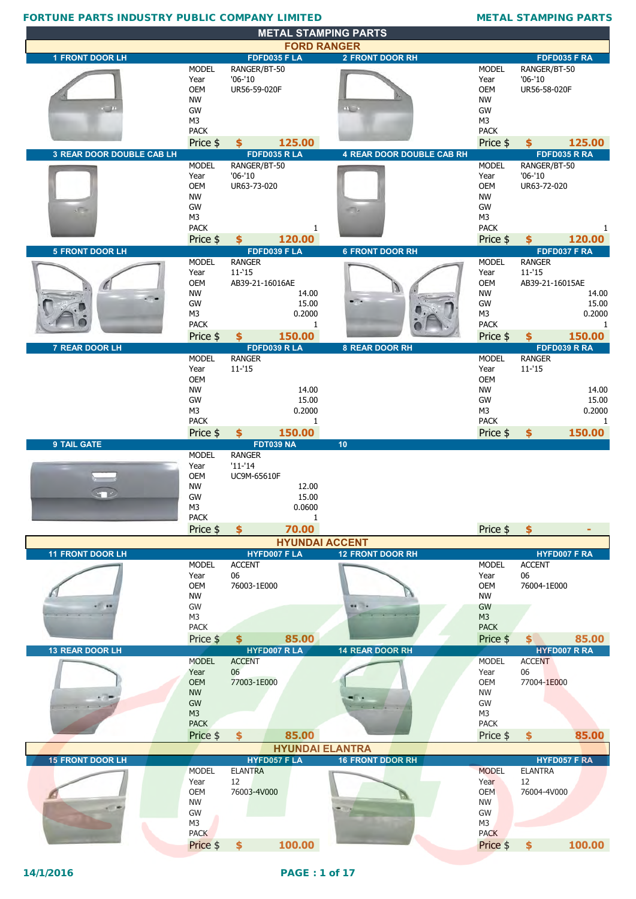|                                  |                               | <b>METAL STAMPING PARTS</b>           |                                  |                               |                                      |
|----------------------------------|-------------------------------|---------------------------------------|----------------------------------|-------------------------------|--------------------------------------|
| <b>1 FRONT DOOR LH</b>           |                               | <b>FORD RANGER</b><br>FDFD035 FLA     | <b>2 FRONT DOOR RH</b>           |                               | FDFD035 F RA                         |
|                                  | <b>MODEL</b>                  | RANGER/BT-50                          |                                  | <b>MODEL</b>                  | RANGER/BT-50                         |
|                                  | Year                          | $'06-'10$                             |                                  | Year                          | $'06 - '10$                          |
|                                  | OEM<br><b>NW</b>              | UR56-59-020F                          |                                  | <b>OEM</b><br><b>NW</b>       | UR56-58-020F                         |
| $\sim$ 10                        | GW                            |                                       | $\mathbf{m}_{\mathrm{min}}$      | GW                            |                                      |
|                                  | M <sub>3</sub>                |                                       |                                  | M <sub>3</sub><br><b>PACK</b> |                                      |
|                                  | <b>PACK</b><br>Price \$       | 125.00<br>\$                          |                                  | Price \$                      | 125.00<br>\$                         |
| <b>3 REAR DOOR DOUBLE CAB LH</b> |                               | FDFD035 RLA                           | <b>4 REAR DOOR DOUBLE CAB RH</b> |                               | FDFD035 R RA                         |
|                                  | <b>MODEL</b>                  | RANGER/BT-50                          |                                  | <b>MODEL</b>                  | RANGER/BT-50                         |
|                                  | Year<br><b>OEM</b>            | $'06-'10$<br>UR63-73-020              |                                  | Year<br><b>OEM</b>            | $'06 - '10$<br>UR63-72-020           |
|                                  | <b>NW</b>                     |                                       |                                  | <b>NW</b>                     |                                      |
| $-12$                            | GW<br>M <sub>3</sub>          |                                       | m.                               | GW<br>M <sub>3</sub>          |                                      |
|                                  | <b>PACK</b>                   | 1                                     |                                  | <b>PACK</b>                   | 1                                    |
|                                  | Price \$                      | 120.00<br>\$                          |                                  | Price \$                      | 120.00<br>\$                         |
| <b>5 FRONT DOOR LH</b>           | <b>MODEL</b>                  | FDFD039 FLA<br><b>RANGER</b>          | <b>6 FRONT DOOR RH</b>           | <b>MODEL</b>                  | FDFD037 F RA<br><b>RANGER</b>        |
|                                  | Year                          | $11 - 15$                             |                                  | Year                          | $11 - 15$                            |
|                                  | OEM                           | AB39-21-16016AE                       |                                  | <b>OEM</b>                    | AB39-21-16015AE                      |
|                                  | <b>NW</b><br>GW               | 14.00<br>15.00                        |                                  | <b>NW</b><br>GW               | 14.00<br>15.00                       |
|                                  | M <sub>3</sub>                | 0.2000                                |                                  | M <sub>3</sub>                | 0.2000                               |
|                                  | <b>PACK</b>                   | 1                                     |                                  | <b>PACK</b>                   | 1                                    |
| 7 REAR DOOR LH                   | Price \$                      | 150.00<br>\$<br>FDFD039 RLA           | 8 REAR DOOR RH                   | Price \$                      | 150.00<br>\$<br>FDFD039 R RA         |
|                                  | <b>MODEL</b>                  | <b>RANGER</b>                         |                                  | <b>MODEL</b>                  | <b>RANGER</b>                        |
|                                  | Year                          | $11 - 15$                             |                                  | Year                          | $11 - 15$                            |
|                                  | <b>OEM</b><br><b>NW</b>       | 14.00                                 |                                  | <b>OEM</b><br><b>NW</b>       | 14.00                                |
|                                  | GW                            | 15.00                                 |                                  | GW                            | 15.00                                |
|                                  | M <sub>3</sub><br><b>PACK</b> | 0.2000<br>1                           |                                  | M <sub>3</sub><br><b>PACK</b> | 0.2000<br>-1                         |
|                                  | Price \$                      | $\mathbf{\hat{S}}$<br>150.00          |                                  | Price \$                      | 150.00<br>\$                         |
| 9 TAIL GATE                      |                               | <b>FDT039 NA</b>                      | 10                               |                               |                                      |
|                                  |                               |                                       |                                  |                               |                                      |
|                                  | <b>MODEL</b>                  | <b>RANGER</b>                         |                                  |                               |                                      |
|                                  | Year<br>OEM                   | $'11-'14$<br>UC9M-65610F              |                                  |                               |                                      |
|                                  | <b>NW</b>                     | 12.00                                 |                                  |                               |                                      |
|                                  | GW                            | 15.00                                 |                                  |                               |                                      |
|                                  | M3<br><b>PACK</b>             | 0.0600<br>1                           |                                  |                               |                                      |
|                                  | Price \$                      | 70.00<br>$\frac{1}{2}$                |                                  | Price \$                      | $\frac{1}{2}$                        |
|                                  |                               | <b>HYUNDAI ACCENT</b>                 |                                  |                               |                                      |
| <b>11 FRONT DOOR LH</b>          | <b>MODEL</b>                  | <b>HYFD007 F LA</b><br><b>ACCENT</b>  | <b>12 FRONT DOOR RH</b>          | <b>MODEL</b>                  | <b>HYFD007 F RA</b><br><b>ACCENT</b> |
|                                  | Year                          | 06                                    |                                  | Year                          | 06                                   |
|                                  | OEM<br><b>NW</b>              | 76003-1E000                           |                                  | <b>OEM</b><br><b>NW</b>       | 76004-1E000                          |
|                                  | GW                            |                                       | <b>HE 34</b>                     | GW                            |                                      |
|                                  | M <sub>3</sub>                |                                       |                                  | M3                            |                                      |
|                                  | <b>PACK</b><br>Price \$       | 85.00<br>$\frac{1}{2}$                |                                  | <b>PACK</b><br>Price \$       | 85.00<br>$$^{\circ}$                 |
| 13 REAR DOOR LH                  |                               | <b>HYFD007 R LA</b>                   | 14 REAR DOOR RH                  |                               | <b>HYFD007 R RA</b>                  |
|                                  | <b>MODEL</b>                  | <b>ACCENT</b>                         |                                  | <b>MODEL</b>                  | <b>ACCENT</b>                        |
|                                  | Year<br><b>OEM</b>            | 06<br>77003-1E000                     |                                  | Year<br><b>OEM</b>            | 06<br>77004-1E000                    |
|                                  | <b>NW</b>                     |                                       |                                  | <b>NW</b>                     |                                      |
|                                  | GW<br>M <sub>3</sub>          |                                       |                                  | GW<br>M <sub>3</sub>          |                                      |
|                                  | <b>PACK</b>                   |                                       |                                  | <b>PACK</b>                   |                                      |
|                                  | Price \$                      | 85.00<br>$\frac{1}{2}$                |                                  | Price \$                      | 85.00<br>\$                          |
|                                  |                               | <b>HYUNDAI ELANTRA</b>                |                                  |                               |                                      |
| <b>15 FRONT DOOR LH</b>          | <b>MODEL</b>                  | <b>HYFD057 F LA</b><br><b>ELANTRA</b> | <b>16 FRONT DDOR RH</b>          | <b>MODEL</b>                  | HYFD057 F RA<br><b>ELANTRA</b>       |
|                                  | Year                          | 12                                    |                                  | Year                          | 12                                   |
|                                  | <b>OEM</b>                    | 76003-4V000                           |                                  | <b>OEM</b>                    | 76004-4V000                          |
|                                  | <b>NW</b><br>GW               |                                       |                                  | <b>NW</b><br>GW               |                                      |
|                                  | M <sub>3</sub>                |                                       |                                  | M3                            |                                      |
|                                  | <b>PACK</b><br>Price \$       | 100.00<br>$\frac{1}{2}$               |                                  | <b>PACK</b><br>Price \$       | 100.00<br>$\frac{1}{2}$              |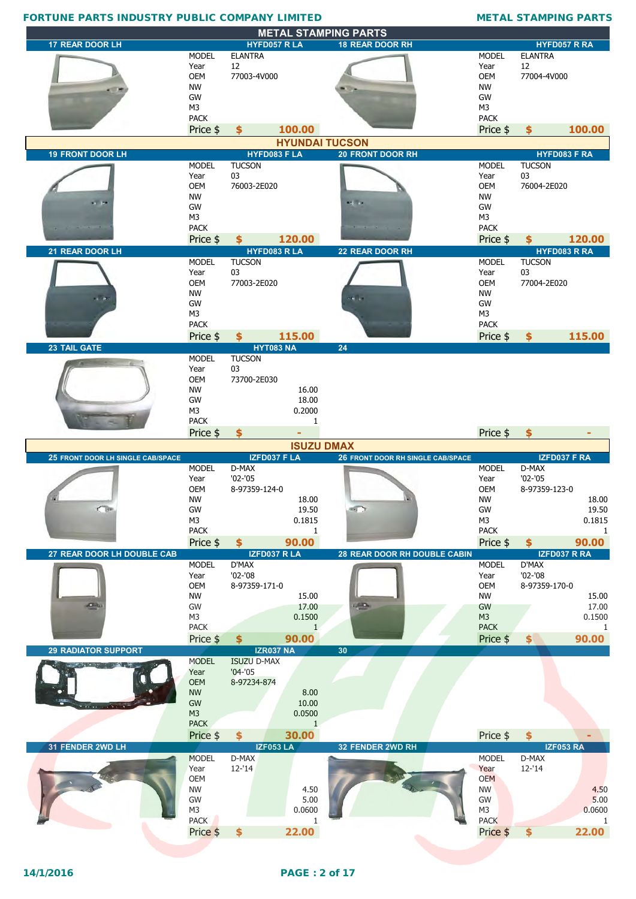|                                   |                               |                               |                   | <b>METAL STAMPING PARTS</b>              |                               |                                      |                 |
|-----------------------------------|-------------------------------|-------------------------------|-------------------|------------------------------------------|-------------------------------|--------------------------------------|-----------------|
| <b>17 REAR DOOR LH</b>            |                               | HYFD057 R LA                  |                   | <b>18 REAR DOOR RH</b>                   |                               | HYFD057 R RA                         |                 |
|                                   | <b>MODEL</b><br>Year          | <b>ELANTRA</b><br>12          |                   |                                          | <b>MODEL</b><br>Year          | <b>ELANTRA</b><br>12                 |                 |
|                                   | <b>OEM</b>                    | 77003-4V000                   |                   |                                          | <b>OEM</b>                    | 77004-4V000                          |                 |
|                                   | <b>NW</b>                     |                               |                   |                                          | <b>NW</b>                     |                                      |                 |
|                                   | GW                            |                               |                   |                                          | GW                            |                                      |                 |
|                                   | M <sub>3</sub>                |                               |                   |                                          | M3                            |                                      |                 |
|                                   | <b>PACK</b>                   |                               |                   |                                          | <b>PACK</b>                   |                                      |                 |
|                                   | Price \$                      | \$                            | 100.00            |                                          | Price \$                      | \$                                   | 100.00          |
|                                   |                               |                               |                   | <b>HYUNDAI TUCSON</b>                    |                               |                                      |                 |
| <b>19 FRONT DOOR LH</b>           | <b>MODEL</b>                  | HYFD083 F LA<br><b>TUCSON</b> |                   | <b>20 FRONT DOOR RH</b>                  | <b>MODEL</b>                  | <b>HYFD083 F RA</b><br><b>TUCSON</b> |                 |
|                                   | Year                          | 03                            |                   |                                          | Year                          | 03                                   |                 |
|                                   | <b>OEM</b>                    | 76003-2E020                   |                   |                                          | <b>OEM</b>                    | 76004-2E020                          |                 |
| $-102$                            | <b>NW</b>                     |                               |                   | <b>And Take</b>                          | <b>NW</b>                     |                                      |                 |
|                                   | GW                            |                               |                   |                                          | GW                            |                                      |                 |
|                                   | M <sub>3</sub><br><b>PACK</b> |                               |                   |                                          | M <sub>3</sub><br><b>PACK</b> |                                      |                 |
|                                   | Price \$                      | $\mathbf{\hat{5}}$            | 120.00            |                                          | Price \$                      | Ś.                                   | 120.00          |
| 21 REAR DOOR LH                   |                               | HYFD083 R LA                  |                   | 22 REAR DOOR RH                          |                               | HYFD083 R RA                         |                 |
|                                   | <b>MODEL</b>                  | <b>TUCSON</b>                 |                   |                                          | <b>MODEL</b>                  | <b>TUCSON</b>                        |                 |
|                                   | Year                          | 03                            |                   |                                          | Year                          | 03                                   |                 |
|                                   | <b>OEM</b>                    | 77003-2E020                   |                   |                                          | <b>OEM</b>                    | 77004-2E020                          |                 |
|                                   | <b>NW</b><br>GW               |                               |                   | H.                                       | <b>NW</b><br>GW               |                                      |                 |
|                                   | M <sub>3</sub>                |                               |                   |                                          | M3                            |                                      |                 |
|                                   | <b>PACK</b>                   |                               |                   |                                          | <b>PACK</b>                   |                                      |                 |
|                                   | Price \$                      | \$                            | 115.00            |                                          | Price \$                      | $\frac{1}{2}$                        | 115.00          |
| <b>23 TAIL GATE</b>               |                               | <b>HYT083 NA</b>              |                   | 24                                       |                               |                                      |                 |
|                                   | <b>MODEL</b>                  | <b>TUCSON</b>                 |                   |                                          |                               |                                      |                 |
|                                   | Year<br><b>OEM</b>            | 03<br>73700-2E030             |                   |                                          |                               |                                      |                 |
|                                   | <b>NW</b>                     |                               | 16.00             |                                          |                               |                                      |                 |
|                                   | GW                            |                               | 18.00             |                                          |                               |                                      |                 |
|                                   | M <sub>3</sub>                |                               | 0.2000            |                                          |                               |                                      |                 |
|                                   | <b>PACK</b>                   |                               | 1                 |                                          |                               |                                      |                 |
|                                   | Price \$                      | \$                            |                   |                                          | Price \$                      | \$                                   |                 |
|                                   |                               |                               |                   |                                          |                               |                                      |                 |
|                                   |                               |                               | <b>ISUZU DMAX</b> |                                          |                               |                                      |                 |
| 25 FRONT DOOR LH SINGLE CAB/SPACE |                               | IZFD037 F LA                  |                   | <b>26 FRONT DOOR RH SINGLE CAB/SPACE</b> |                               | IZFD037 F RA                         |                 |
|                                   | <b>MODEL</b>                  | D-MAX                         |                   |                                          | <b>MODEL</b>                  | D-MAX                                |                 |
|                                   | Year<br><b>OEM</b>            | $'02 - '05$<br>8-97359-124-0  |                   |                                          | Year<br><b>OEM</b>            | $'02 - '05$<br>8-97359-123-0         |                 |
|                                   | <b>NW</b>                     |                               | 18.00             |                                          | <b>NW</b>                     |                                      | 18.00           |
| <b>COM</b>                        | GW                            |                               | 19.50             | was in                                   | GW                            |                                      | 19.50           |
|                                   | M3                            |                               | 0.1815            |                                          | M <sub>3</sub>                |                                      | 0.1815          |
|                                   | <b>PACK</b>                   |                               | 1                 |                                          | <b>PACK</b>                   |                                      | 1               |
|                                   | Price \$                      | \$                            | 90.00             |                                          | Price \$                      | $\frac{1}{2}$                        | 90.00           |
| 27 REAR DOOR LH DOUBLE CAB        | <b>MODEL</b>                  | IZFD037 R LA<br>D'MAX         |                   | 28 REAR DOOR RH DOUBLE CABIN             | <b>MODEL</b>                  | IZFD037 R RA<br>D'MAX                |                 |
|                                   | Year                          | $'02 - '08$                   |                   |                                          | Year                          | $'02 - '08$                          |                 |
|                                   | OEM                           | 8-97359-171-0                 |                   |                                          | OEM                           | 8-97359-170-0                        |                 |
| <b>DO</b>                         | <b>NW</b>                     |                               | 15.00             |                                          | <b>NW</b>                     |                                      | 15.00           |
|                                   | GW<br>M3                      |                               | 17.00<br>0.1500   | $u_{\text{max}}$                         | GW<br>M3                      |                                      | 17.00<br>0.1500 |
|                                   | <b>PACK</b>                   |                               | $\mathbf{1}$      |                                          | <b>PACK</b>                   |                                      | 1               |
|                                   | Price \$                      | \$                            | 90.00             |                                          | Price \$                      | $\left  \right\rangle$               | 90.00           |
| <b>29 RADIATOR SUPPORT</b>        |                               | <b>IZR037 NA</b>              |                   | 30                                       |                               |                                      |                 |
|                                   | <b>MODEL</b>                  | <b>ISUZU D-MAX</b>            |                   |                                          |                               |                                      |                 |
|                                   | Year                          | $'04 - '05$                   |                   |                                          |                               |                                      |                 |
|                                   | <b>OEM</b>                    | 8-97234-874                   |                   |                                          |                               |                                      |                 |
|                                   | <b>NW</b><br>GW               |                               | 8.00<br>10.00     |                                          |                               |                                      |                 |
|                                   | M <sub>3</sub>                |                               | 0.0500            |                                          |                               |                                      |                 |
|                                   | <b>PACK</b>                   |                               | $\mathbf{1}$      |                                          |                               |                                      |                 |
|                                   | Price \$                      | \$                            | 30.00             |                                          | Price \$                      | $\frac{1}{2}$                        |                 |
| 31 FENDER 2WD LH                  |                               | <b>IZF053 LA</b>              |                   | 32 FENDER 2WD RH                         |                               | <b>IZF053 RA</b>                     |                 |
|                                   | <b>MODEL</b><br>Year          | D-MAX<br>$12 - 14$            |                   |                                          | <b>MODEL</b><br>Year          | D-MAX<br>$12 - 14$                   |                 |
|                                   | OEM                           |                               |                   |                                          | <b>OEM</b>                    |                                      |                 |
|                                   | <b>NW</b>                     |                               | 4.50              |                                          | <b>NW</b>                     |                                      | 4.50            |
|                                   | GW                            |                               | 5.00              |                                          | GW                            |                                      | 5.00            |
|                                   | M3                            |                               | 0.0600            |                                          | M <sub>3</sub>                |                                      | 0.0600          |
|                                   | <b>PACK</b><br>Price \$       | $\frac{1}{2}$                 | 1<br>22.00        |                                          | <b>PACK</b><br>Price \$       | $\frac{1}{2}$                        | 1<br>22.00      |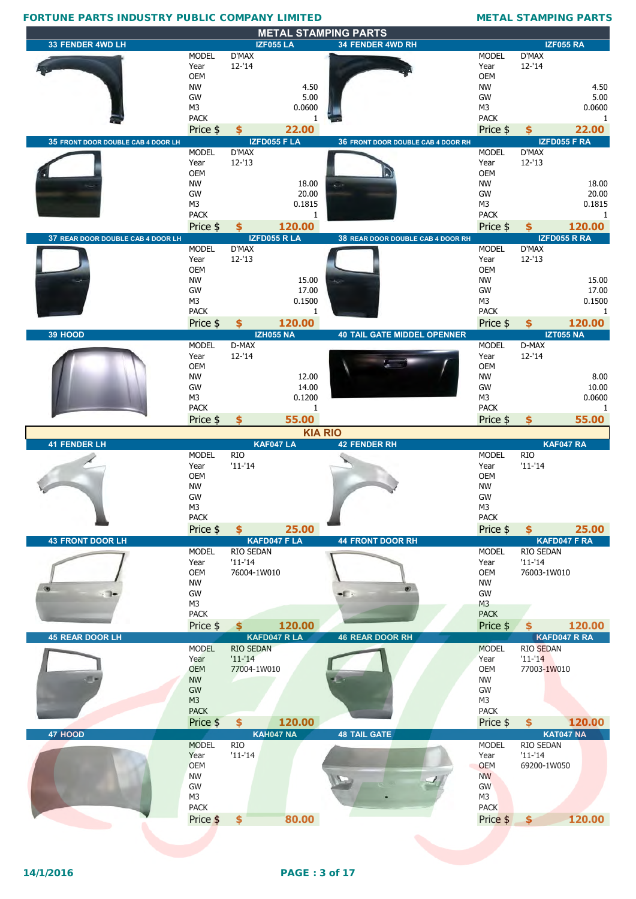|                                    |                               |                  |                              | <b>METAL STAMPING PARTS</b>        |                               |                            |                        |
|------------------------------------|-------------------------------|------------------|------------------------------|------------------------------------|-------------------------------|----------------------------|------------------------|
| 33 FENDER 4WD LH                   | <b>MODEL</b>                  | D'MAX            | <b>IZF055 LA</b>             | 34 FENDER 4WD RH                   | <b>MODEL</b>                  | D'MAX                      | <b>IZF055 RA</b>       |
|                                    | Year                          | $12 - 14$        |                              |                                    | Year                          | $12 - 14$                  |                        |
|                                    | <b>OEM</b>                    |                  |                              |                                    | <b>OEM</b>                    |                            |                        |
|                                    | <b>NW</b>                     |                  | 4.50                         |                                    | <b>NW</b>                     |                            | 4.50                   |
|                                    | GW                            |                  | 5.00                         |                                    | GW                            |                            | 5.00                   |
|                                    | M3                            |                  | 0.0600                       |                                    | M3                            |                            | 0.0600                 |
|                                    | <b>PACK</b>                   |                  | 1                            |                                    | <b>PACK</b>                   |                            | 1                      |
|                                    | Price \$                      | \$               | 22.00<br><b>IZFD055 F LA</b> |                                    | Price \$                      | \$                         | 22.00<br>IZFD055 F RA  |
| 35 FRONT DOOR DOUBLE CAB 4 DOOR LH | <b>MODEL</b>                  | D'MAX            |                              | 36 FRONT DOOR DOUBLE CAB 4 DOOR RH | <b>MODEL</b>                  | D'MAX                      |                        |
|                                    | Year                          | $12 - 13$        |                              |                                    | Year                          | $12 - 13$                  |                        |
|                                    | <b>OEM</b>                    |                  |                              |                                    | <b>OEM</b>                    |                            |                        |
|                                    | <b>NW</b>                     |                  | 18.00                        | $\sim$                             | <b>NW</b>                     |                            | 18.00                  |
|                                    | GW                            |                  | 20.00                        |                                    | GW                            |                            | 20.00                  |
|                                    | M <sub>3</sub>                |                  | 0.1815                       |                                    | M <sub>3</sub>                |                            | 0.1815                 |
|                                    | <b>PACK</b>                   | \$               | 1<br>120.00                  |                                    | <b>PACK</b>                   |                            | -1                     |
| 37 REAR DOOR DOUBLE CAB 4 DOOR LH  | Price \$                      |                  | IZFD055 R LA                 | 38 REAR DOOR DOUBLE CAB 4 DOOR RH  | Price \$                      | \$                         | 120.00<br>IZFD055 R RA |
|                                    | <b>MODEL</b>                  | D'MAX            |                              |                                    | <b>MODEL</b>                  | D'MAX                      |                        |
|                                    | Year                          | $12 - 13$        |                              |                                    | Year                          | $12 - 13$                  |                        |
|                                    | <b>OEM</b>                    |                  |                              |                                    | <b>OEM</b>                    |                            |                        |
|                                    | <b>NW</b>                     |                  | 15.00                        |                                    | <b>NW</b>                     |                            | 15.00                  |
|                                    | GW                            |                  | 17.00                        |                                    | GW                            |                            | 17.00                  |
|                                    | M <sub>3</sub><br><b>PACK</b> |                  | 0.1500                       |                                    | M <sub>3</sub><br><b>PACK</b> |                            | 0.1500<br>-1           |
|                                    |                               | \$               | 1<br>120.00                  |                                    |                               |                            | 120.00                 |
| 39 HOOD                            | Price \$                      |                  | <b>IZH055 NA</b>             | <b>40 TAIL GATE MIDDEL OPENNER</b> | Price \$                      | \$                         | <b>IZT055 NA</b>       |
|                                    | <b>MODEL</b>                  | D-MAX            |                              |                                    | <b>MODEL</b>                  | D-MAX                      |                        |
|                                    | Year                          | $12 - 14$        |                              |                                    | Year                          | $12 - 14$                  |                        |
|                                    | <b>OEM</b>                    |                  |                              |                                    | <b>OEM</b>                    |                            |                        |
|                                    | <b>NW</b>                     |                  | 12.00                        |                                    | <b>NW</b>                     |                            | 8.00                   |
|                                    | GW<br>M <sub>3</sub>          |                  | 14.00                        |                                    | GW<br>M <sub>3</sub>          |                            | 10.00                  |
|                                    | <b>PACK</b>                   |                  | 0.1200<br>1                  |                                    | <b>PACK</b>                   |                            | 0.0600<br>-1           |
|                                    | Price \$                      | \$               | 55.00                        |                                    | Price \$                      | \$                         | 55.00                  |
|                                    |                               |                  |                              |                                    |                               |                            |                        |
|                                    |                               |                  |                              |                                    |                               |                            |                        |
|                                    |                               |                  |                              | <b>KIA RIO</b>                     |                               |                            |                        |
| <b>41 FENDER LH</b>                | <b>MODEL</b>                  | <b>RIO</b>       | KAF047 LA                    | <b>42 FENDER RH</b>                | <b>MODEL</b>                  | <b>RIO</b>                 | KAF047 RA              |
|                                    | Year                          | $'11-'14$        |                              |                                    | Year                          | $'11 - '14$                |                        |
|                                    | <b>OEM</b>                    |                  |                              |                                    | OEM                           |                            |                        |
|                                    | <b>NW</b>                     |                  |                              |                                    | <b>NW</b>                     |                            |                        |
|                                    | GW                            |                  |                              |                                    | GW                            |                            |                        |
|                                    | M3<br><b>PACK</b>             |                  |                              |                                    | M3<br><b>PACK</b>             |                            |                        |
|                                    | Price \$                      | $$^{\circ}$      | 25.00                        |                                    | Price \$                      | \$                         | 25.00                  |
| <b>43 FRONT DOOR LH</b>            |                               |                  | KAFD047 F LA                 | <b>44 FRONT DOOR RH</b>            |                               |                            | KAFD047 F RA           |
|                                    | <b>MODEL</b>                  | RIO SEDAN        |                              |                                    | <b>MODEL</b>                  | RIO SEDAN                  |                        |
|                                    | Year                          | $'11-'14$        |                              |                                    | Year                          | $'11 - 14$                 |                        |
|                                    | OEM                           | 76004-1W010      |                              |                                    | <b>OEM</b>                    | 76003-1W010                |                        |
| $\rightarrow$                      | <b>NW</b><br>GW               |                  |                              | $-1$                               | <b>NW</b><br>GW               |                            |                        |
|                                    | M3                            |                  |                              |                                    | M <sub>3</sub>                |                            |                        |
|                                    | <b>PACK</b>                   |                  |                              |                                    | <b>PACK</b>                   |                            |                        |
|                                    | Price \$                      | $\sim$           | 120.00                       |                                    | Price \$                      | \$.                        | 120.00                 |
| <b>45 REAR DOOR LH</b>             |                               |                  | KAFD047 R LA                 | <b>46 REAR DOOR RH</b>             |                               |                            | KAFD047 R RA           |
|                                    | <b>MODEL</b>                  | <b>RIO SEDAN</b> |                              |                                    | <b>MODEL</b>                  | <b>RIO SEDAN</b>           |                        |
|                                    | Year                          | $'11 - '14$      |                              |                                    | Year                          | $'11 - '14$                |                        |
|                                    | <b>OEM</b><br><b>NW</b>       | 77004-1W010      |                              | <b>Design</b>                      | OEM<br><b>NW</b>              | 77003-1W010                |                        |
|                                    | GW                            |                  |                              |                                    | GW                            |                            |                        |
|                                    | M <sub>3</sub>                |                  |                              |                                    | M <sub>3</sub>                |                            |                        |
|                                    | <b>PACK</b>                   |                  |                              |                                    | <b>PACK</b>                   |                            |                        |
|                                    | Price \$                      | $\frac{1}{2}$    | 120.00                       |                                    | Price \$                      | $\frac{1}{2}$              | 120.00                 |
| 47 HOOD                            |                               |                  | <b>KAH047 NA</b>             | <b>48 TAIL GATE</b>                |                               |                            | <b>KAT047 NA</b>       |
|                                    | <b>MODEL</b>                  | <b>RIO</b>       |                              |                                    | <b>MODEL</b>                  | <b>RIO SEDAN</b>           |                        |
|                                    | Year<br><b>OEM</b>            | $'11-'14$        |                              |                                    | Year<br><b>OEM</b>            | $'11 - '14$<br>69200-1W050 |                        |
|                                    | <b>NW</b>                     |                  |                              |                                    | <b>NW</b>                     |                            |                        |
|                                    | GW                            |                  |                              |                                    | <b>GW</b>                     |                            |                        |
|                                    | M3                            |                  |                              |                                    | M3                            |                            |                        |
|                                    | <b>PACK</b>                   |                  |                              |                                    | <b>PACK</b>                   |                            |                        |
|                                    | Price \$                      | $\frac{1}{2}$    | 80.00                        |                                    | Price \$                      | $\frac{1}{2}$              | 120.00                 |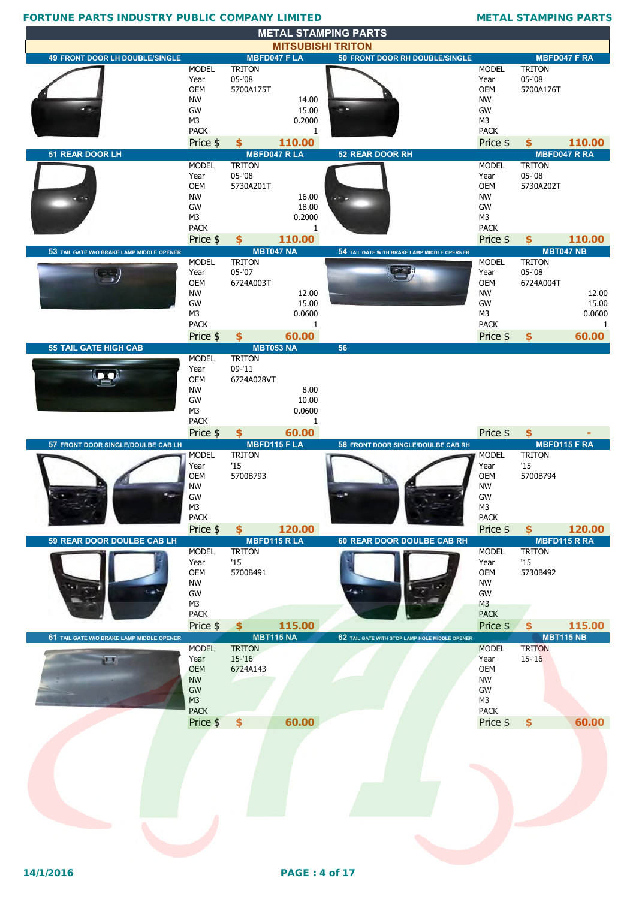|                                           |                               |                                     |                 | <b>METAL STAMPING PARTS</b>                    |                               |                            |                            |
|-------------------------------------------|-------------------------------|-------------------------------------|-----------------|------------------------------------------------|-------------------------------|----------------------------|----------------------------|
|                                           |                               |                                     |                 | <b>MITSUBISHI TRITON</b>                       |                               |                            |                            |
| <b>49 FRONT DOOR LH DOUBLE/SINGLE</b>     |                               | <b>MBFD047 FLA</b>                  |                 | <b>50 FRONT DOOR RH DOUBLE/SINGLE</b>          |                               |                            | <b>MBFD047 F RA</b>        |
|                                           | <b>MODEL</b><br>Year          | <b>TRITON</b><br>$05 - 08$          |                 |                                                | <b>MODEL</b><br>Year          | <b>TRITON</b><br>$05 - 08$ |                            |
|                                           | <b>OEM</b>                    | 5700A175T                           |                 |                                                | <b>OEM</b>                    | 5700A176T                  |                            |
|                                           | <b>NW</b>                     |                                     | 14.00           |                                                | <b>NW</b>                     |                            |                            |
|                                           | GW                            |                                     | 15.00           |                                                | GW                            |                            |                            |
|                                           | M <sub>3</sub><br><b>PACK</b> |                                     | 0.2000<br>1     |                                                | M <sub>3</sub><br><b>PACK</b> |                            |                            |
|                                           | Price \$                      | \$                                  | 110.00          |                                                | Price \$                      | \$.                        | 110.00                     |
| 51 REAR DOOR LH                           |                               | <b>MBFD047 RLA</b>                  |                 | <b>52 REAR DOOR RH</b>                         |                               |                            | <b>MBFD047 R RA</b>        |
|                                           | <b>MODEL</b>                  | <b>TRITON</b>                       |                 |                                                | <b>MODEL</b>                  | <b>TRITON</b>              |                            |
|                                           | Year<br><b>OEM</b>            | $05 - 08$<br>5730A201T              |                 |                                                | Year<br><b>OEM</b>            | $05 - 08$<br>5730A202T     |                            |
|                                           | <b>NW</b>                     |                                     | 16.00           |                                                | <b>NW</b>                     |                            |                            |
|                                           | GW                            |                                     | 18.00           |                                                | GW                            |                            |                            |
|                                           | M <sub>3</sub>                |                                     | 0.2000          |                                                | M <sub>3</sub>                |                            |                            |
|                                           | <b>PACK</b>                   |                                     | 1               |                                                | <b>PACK</b>                   |                            |                            |
|                                           | Price \$                      | \$<br><b>MBT047 NA</b>              | 110.00          |                                                | Price \$                      | $\frac{1}{2}$              | 110.00<br><b>MBT047 NB</b> |
| 53 TAIL GATE W/O BRAKE LAMP MIDDLE OPENER | <b>MODEL</b>                  | <b>TRITON</b>                       |                 | 54 TAIL GATE WITH BRAKE LAMP MIDDLE OPERNER    | <b>MODEL</b>                  | <b>TRITON</b>              |                            |
|                                           | Year                          | $05 - 07$                           |                 |                                                | Year                          | 05-'08                     |                            |
|                                           | <b>OEM</b>                    | 6724A003T                           |                 |                                                | <b>OEM</b>                    | 6724A004T                  |                            |
|                                           | <b>NW</b><br>GW               |                                     | 12.00<br>15.00  |                                                | <b>NW</b><br>GW               |                            | 12.00<br>15.00             |
|                                           | M3                            |                                     | 0.0600          |                                                | M3                            |                            | 0.0600                     |
|                                           | <b>PACK</b>                   |                                     | 1               |                                                | <b>PACK</b>                   |                            | -1                         |
|                                           | Price \$                      | $\frac{1}{2}$                       | 60.00           |                                                | Price \$                      | \$                         | 60.00                      |
| <b>55 TAIL GATE HIGH CAB</b>              | <b>MODEL</b>                  | <b>MBT053 NA</b><br><b>TRITON</b>   |                 | 56                                             |                               |                            |                            |
|                                           | Year                          | 09-'11                              |                 |                                                |                               |                            |                            |
|                                           | <b>OEM</b>                    | 6724A028VT                          |                 |                                                |                               |                            |                            |
|                                           | <b>NW</b>                     |                                     | 8.00            |                                                |                               |                            |                            |
|                                           | GW<br>M <sub>3</sub>          |                                     | 10.00<br>0.0600 |                                                |                               |                            |                            |
|                                           | <b>PACK</b>                   |                                     | 1               |                                                |                               |                            |                            |
|                                           | Price \$                      | $\frac{1}{2}$                       | 60.00           |                                                | Price \$                      | \$                         |                            |
| 57 FRONT DOOR SINGLE/DOULBE CAB LH        |                               | <b>MBFD115 F LA</b>                 |                 | 58 FRONT DOOR SINGLE/DOULBE CAB RH             |                               |                            | <b>MBFD115 F RA</b>        |
|                                           |                               |                                     |                 |                                                |                               |                            |                            |
|                                           | <b>MODEL</b>                  | <b>TRITON</b>                       |                 |                                                | <b>MODEL</b>                  | <b>TRITON</b>              |                            |
|                                           | Year<br><b>OEM</b>            | '15                                 |                 |                                                | Year<br><b>OEM</b>            | '15<br>5700B794            |                            |
|                                           | <b>NW</b>                     | 5700B793                            |                 |                                                | <b>NW</b>                     |                            |                            |
|                                           | GW                            |                                     |                 |                                                | GW                            |                            |                            |
|                                           | M3                            |                                     |                 |                                                | M <sub>3</sub>                |                            |                            |
|                                           | <b>PACK</b>                   |                                     |                 |                                                | <b>PACK</b>                   | \$                         |                            |
| 59 REAR DOOR DOULBE CAB LH                | Price \$                      | $\frac{1}{2}$<br><b>MBFD115 RLA</b> | 120.00          | 60 REAR DOOR DOULBE CAB RH                     | Price \$                      |                            | 120.00<br>MBFD115 R RA     |
|                                           | <b>MODEL</b>                  | <b>TRITON</b>                       |                 |                                                | <b>MODEL</b>                  | <b>TRITON</b>              |                            |
|                                           | Year                          | '15                                 |                 |                                                | Year                          | '15                        |                            |
|                                           | OEM                           | 5700B491                            |                 |                                                | OEM                           | 5730B492                   |                            |
|                                           | <b>NW</b><br>GW               |                                     |                 |                                                | <b>NW</b><br>GW               |                            |                            |
|                                           | M <sub>3</sub>                |                                     |                 |                                                | M <sub>3</sub>                |                            |                            |
|                                           | PACK                          |                                     |                 |                                                | <b>PACK</b>                   |                            |                            |
| 61 TAIL GATE W/O BRAKE LAMP MIDDLE OPENER | Price \$                      | $\frac{1}{2}$                       | 115.00          |                                                | Price \$                      | \$                         | 115.00                     |
|                                           | <b>MODEL</b>                  | <b>MBT115 NA</b><br><b>TRITON</b>   |                 | 62 TAIL GATE WITH STOP LAMP HOLE MIDDLE OPENER | <b>MODEL</b>                  | <b>TRITON</b>              | <b>MBT115 NB</b>           |
| (L, J)                                    | Year                          | $15 - 16$                           |                 |                                                | Year                          | $15 - 16$                  |                            |
|                                           | <b>OEM</b>                    | 6724A143                            |                 |                                                | <b>OEM</b>                    |                            |                            |
|                                           | <b>NW</b>                     |                                     |                 |                                                | <b>NW</b>                     |                            |                            |
|                                           | GW<br>M3                      |                                     |                 |                                                | GW<br>M <sub>3</sub>          |                            |                            |
|                                           | <b>PACK</b>                   |                                     |                 |                                                | <b>PACK</b>                   |                            |                            |
|                                           | Price \$                      | $\frac{1}{2}$                       | 60.00           |                                                | Price \$                      | \$                         | 60.00                      |
|                                           |                               |                                     |                 |                                                |                               |                            |                            |
|                                           |                               |                                     |                 |                                                |                               |                            |                            |
|                                           |                               |                                     |                 |                                                |                               |                            |                            |
|                                           |                               |                                     |                 |                                                |                               |                            |                            |
|                                           |                               |                                     |                 |                                                |                               |                            |                            |
|                                           |                               |                                     |                 |                                                |                               |                            |                            |
|                                           |                               |                                     |                 |                                                |                               |                            |                            |
|                                           |                               |                                     |                 |                                                |                               |                            |                            |
|                                           |                               |                                     |                 |                                                |                               |                            |                            |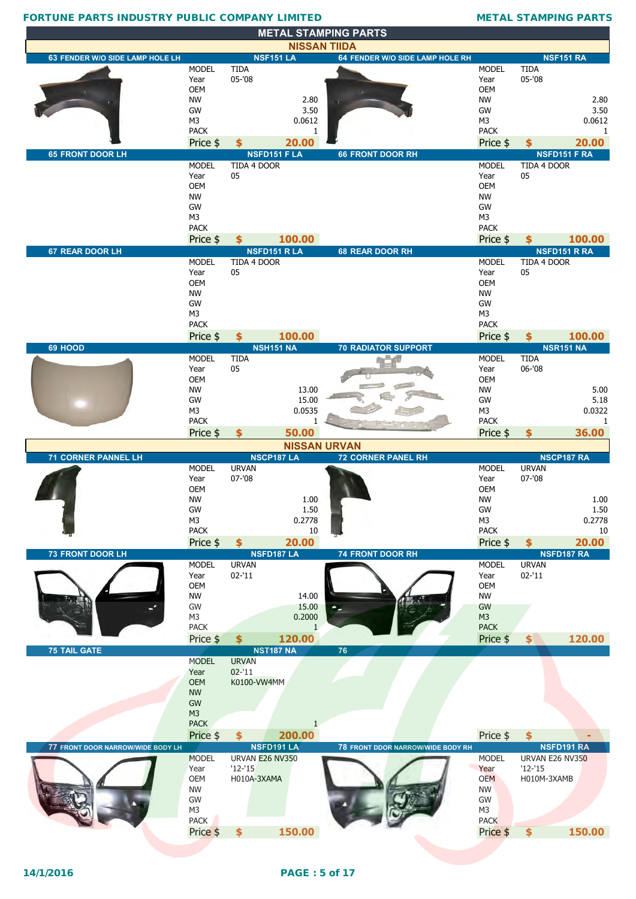| 63 FENDER W/O SIDE LAMP HOLE LH   |                         |                 | <b>NSF151 LA</b>            | <b>NISSAN TIIDA</b><br>64 FENDER W/O SIDE LAMP HOLE RH |                   |                 | <b>NSF151 RA</b>           |
|-----------------------------------|-------------------------|-----------------|-----------------------------|--------------------------------------------------------|-------------------|-----------------|----------------------------|
|                                   | <b>MODEL</b>            | <b>TIDA</b>     |                             |                                                        | <b>MODEL</b>      | <b>TIDA</b>     |                            |
|                                   | Year                    | $05 - 08$       |                             |                                                        | Year              | $05 - 08$       |                            |
|                                   | <b>OEM</b>              |                 |                             |                                                        | <b>OEM</b>        |                 |                            |
|                                   | <b>NW</b>               |                 | 2.80                        |                                                        | <b>NW</b>         |                 | 2.80                       |
|                                   | GW                      |                 | 3.50                        |                                                        | GW                |                 | 3.50                       |
|                                   | M <sub>3</sub>          |                 | 0.0612                      |                                                        | M <sub>3</sub>    |                 | 0.0612                     |
|                                   | <b>PACK</b>             |                 | 1                           |                                                        | <b>PACK</b>       |                 | 1                          |
| <b>65 FRONT DOOR LH</b>           | Price \$                | \$              | 20.00<br><b>NSFD151 FLA</b> | <b>66 FRONT DOOR RH</b>                                | Price \$          | \$              | 20.00<br>NSFD151 F RA      |
|                                   | <b>MODEL</b>            | TIDA 4 DOOR     |                             |                                                        | <b>MODEL</b>      | TIDA 4 DOOR     |                            |
|                                   | Year                    | 05              |                             |                                                        | Year              | 05              |                            |
|                                   | OEM                     |                 |                             |                                                        | <b>OEM</b>        |                 |                            |
|                                   | <b>NW</b>               |                 |                             |                                                        | <b>NW</b>         |                 |                            |
|                                   | GW                      |                 |                             |                                                        | GW                |                 |                            |
|                                   | M <sub>3</sub>          |                 |                             |                                                        | M <sub>3</sub>    |                 |                            |
|                                   | <b>PACK</b><br>Price \$ | \$              | 100.00                      |                                                        | <b>PACK</b>       |                 |                            |
| 67 REAR DOOR LH                   |                         |                 | <b>NSFD151 RLA</b>          | 68 REAR DOOR RH                                        | Price \$          | \$              | 100.00<br>NSFD151 R RA     |
|                                   | <b>MODEL</b>            | TIDA 4 DOOR     |                             |                                                        | <b>MODEL</b>      | TIDA 4 DOOR     |                            |
|                                   | Year                    | 05              |                             |                                                        | Year              | 05              |                            |
|                                   | OEM                     |                 |                             |                                                        | <b>OEM</b>        |                 |                            |
|                                   | <b>NW</b>               |                 |                             |                                                        | <b>NW</b>         |                 |                            |
|                                   | GW                      |                 |                             |                                                        | GW                |                 |                            |
|                                   | M <sub>3</sub>          |                 |                             |                                                        | M <sub>3</sub>    |                 |                            |
|                                   | <b>PACK</b><br>Price \$ | \$              | 100.00                      |                                                        | <b>PACK</b>       |                 |                            |
| 69 HOOD                           |                         |                 | <b>NSH151 NA</b>            | <b>70 RADIATOR SUPPORT</b>                             | Price \$          | \$              | 100.00<br><b>NSR151 NA</b> |
|                                   | <b>MODEL</b>            | <b>TIDA</b>     |                             |                                                        | <b>MODEL</b>      | <b>TIDA</b>     |                            |
|                                   | Year                    | 05              |                             |                                                        | Year              | 06-'08          |                            |
|                                   | <b>OEM</b>              |                 |                             |                                                        | <b>OEM</b>        |                 |                            |
|                                   | <b>NW</b>               |                 | 13.00                       |                                                        | <b>NW</b>         |                 | 5.00                       |
|                                   | GW                      |                 | 15.00                       |                                                        | GW                |                 | 5.18                       |
|                                   | M <sub>3</sub>          |                 | 0.0535                      |                                                        | M <sub>3</sub>    |                 | 0.0322                     |
|                                   | <b>PACK</b>             |                 | 1                           |                                                        | <b>PACK</b>       |                 | 1                          |
|                                   | Price \$                | \$              | 50.00                       |                                                        | Price \$          | \$              | 36.00                      |
| <b>71 CORNER PANNEL LH</b>        |                         |                 | <b>NSCP187 LA</b>           | <b>NISSAN URVAN</b><br><b>72 CORNER PANEL RH</b>       |                   |                 | NSCP187 RA                 |
|                                   | <b>MODEL</b>            | <b>URVAN</b>    |                             |                                                        | <b>MODEL</b>      | <b>URVAN</b>    |                            |
|                                   | Year                    | $07 - 08$       |                             |                                                        | Year              | $07 - 08$       |                            |
|                                   | <b>OEM</b>              |                 |                             |                                                        | OEM               |                 |                            |
|                                   | <b>NW</b>               |                 | 1.00                        |                                                        | <b>NW</b>         |                 | 1.00                       |
|                                   | GW                      |                 | 1.50                        |                                                        | GW                |                 | 1.50                       |
|                                   | M3<br><b>PACK</b>       |                 | 0.2778<br>10                |                                                        | M3<br><b>PACK</b> |                 | 0.2778<br>10               |
|                                   | Price \$                | \$              | 20.00                       |                                                        | Price \$          | $\frac{1}{2}$   | 20.00                      |
| <b>73 FRONT DOOR LH</b>           |                         |                 | <b>NSFD187 LA</b>           | <b>74 FRONT DOOR RH</b>                                |                   |                 | <b>NSFD187 RA</b>          |
|                                   | <b>MODEL</b>            | <b>URVAN</b>    |                             |                                                        | <b>MODEL</b>      | <b>URVAN</b>    |                            |
|                                   | Year                    | $02 - 11$       |                             |                                                        |                   |                 |                            |
|                                   | OEM                     |                 |                             |                                                        | Year              | $02 - 11$       |                            |
|                                   |                         |                 |                             |                                                        | OEM               |                 |                            |
|                                   | <b>NW</b>               |                 | 14.00                       |                                                        | <b>NW</b>         |                 |                            |
|                                   | GW                      |                 | 15.00                       |                                                        | GW                |                 |                            |
|                                   | M3                      |                 | 0.2000                      |                                                        | M3                |                 |                            |
|                                   | <b>PACK</b>             |                 | $\mathbf{1}$                |                                                        | <b>PACK</b>       |                 |                            |
|                                   | Price \$                | \$              | 120.00                      |                                                        | Price \$          | $\vert$         | 120.00                     |
| <b>75 TAIL GATE</b>               | <b>MODEL</b>            | <b>URVAN</b>    | <b>NST187 NA</b>            | 76                                                     |                   |                 |                            |
|                                   | Year                    | $02 - 11$       |                             |                                                        |                   |                 |                            |
|                                   | <b>OEM</b>              | K0100-VW4MM     |                             |                                                        |                   |                 |                            |
|                                   | <b>NW</b>               |                 |                             |                                                        |                   |                 |                            |
|                                   | GW                      |                 |                             |                                                        |                   |                 |                            |
|                                   | M <sub>3</sub>          |                 |                             |                                                        |                   |                 |                            |
|                                   | <b>PACK</b>             |                 | 1                           |                                                        |                   |                 |                            |
|                                   | Price \$                | \$              | 200.00                      |                                                        | Price \$          | \$              |                            |
| 77 FRONT DOOR NARROW/WIDE BODY LH | <b>MODEL</b>            | URVAN E26 NV350 | <b>NSFD191 LA</b>           | 78 FRONT DDOR NARROW/WIDE BODY RH                      | <b>MODEL</b>      | URVAN E26 NV350 | NSFD191 RA                 |
|                                   | Year                    | $'12-'15$       |                             |                                                        | Year              | $'12-'15$       |                            |
|                                   | <b>OEM</b>              | H010A-3XAMA     |                             |                                                        | <b>OEM</b>        | H010M-3XAMB     |                            |
|                                   | <b>NW</b>               |                 |                             |                                                        | <b>NW</b>         |                 |                            |
|                                   | GW                      |                 |                             |                                                        | GW                |                 |                            |
|                                   | M3<br>PACK              |                 |                             |                                                        | M3<br><b>PACK</b> |                 |                            |

**METAL STAMPING PARTS**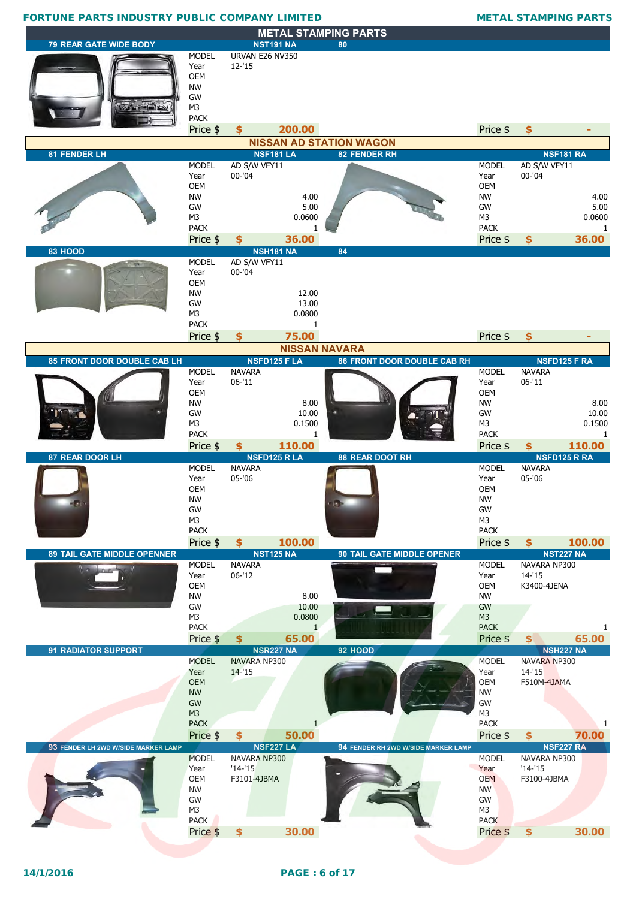| <b>FORTUNE PARTS INDUSTRY PUBLIC COMPANY LIMITED</b> |                                                                                                           |                                                              |                                                  |                                                |                                                                                                    | <b>METAL STAMPING PARTS</b>                                        |                                         |
|------------------------------------------------------|-----------------------------------------------------------------------------------------------------------|--------------------------------------------------------------|--------------------------------------------------|------------------------------------------------|----------------------------------------------------------------------------------------------------|--------------------------------------------------------------------|-----------------------------------------|
|                                                      |                                                                                                           |                                                              |                                                  | <b>METAL STAMPING PARTS</b>                    |                                                                                                    |                                                                    |                                         |
| <b>79 REAR GATE WIDE BODY</b>                        |                                                                                                           | <b>NST191 NA</b>                                             |                                                  | 80                                             |                                                                                                    |                                                                    |                                         |
|                                                      | <b>MODEL</b><br>Year<br><b>OEM</b><br><b>NW</b><br>GW<br>M <sub>3</sub><br><b>PACK</b><br>Price \$        | URVAN E26 NV350<br>$12 - 15$<br>\$                           | 200.00                                           |                                                | Price \$                                                                                           | \$                                                                 |                                         |
|                                                      |                                                                                                           |                                                              |                                                  |                                                |                                                                                                    |                                                                    |                                         |
| 81 FENDER LH                                         |                                                                                                           | <b>NSF181 LA</b>                                             |                                                  | <b>NISSAN AD STATION WAGON</b><br>82 FENDER RH |                                                                                                    | <b>NSF181 RA</b>                                                   |                                         |
|                                                      | <b>MODEL</b><br>Year<br>OEM<br><b>NW</b><br>GW<br>M <sub>3</sub><br><b>PACK</b><br>Price \$               | AD S/W VFY11<br>$00 - 04$<br>\$                              | 4.00<br>5.00<br>0.0600<br>36,00                  |                                                | <b>MODEL</b><br>Year<br><b>OEM</b><br><b>NW</b><br>GW<br>M <sub>3</sub><br><b>PACK</b><br>Price \$ | AD S/W VFY11<br>$00 - 04$<br>\$                                    | 4.00<br>5.00<br>0.0600<br>1<br>36.00    |
| 83 HOOD                                              |                                                                                                           | <b>NSH181 NA</b>                                             |                                                  | 84                                             |                                                                                                    |                                                                    |                                         |
|                                                      | <b>MODEL</b><br>Year<br><b>OEM</b><br><b>NW</b><br>GW<br>M <sub>3</sub><br><b>PACK</b><br>Price \$        | AD S/W VFY11<br>$00 - 04$<br>\$                              | 12.00<br>13.00<br>0.0800<br>1<br>75.00           |                                                | Price \$                                                                                           | \$                                                                 | ٠                                       |
|                                                      |                                                                                                           |                                                              | <b>NISSAN NAVARA</b>                             |                                                |                                                                                                    |                                                                    |                                         |
| 85 FRONT DOOR DOUBLE CAB LH                          |                                                                                                           | <b>NSFD125 F LA</b>                                          |                                                  | <b>86 FRONT DOOR DOUBLE CAB RH</b>             |                                                                                                    | <b>NSFD125 F RA</b>                                                |                                         |
|                                                      | <b>MODEL</b><br>Year<br><b>OEM</b><br><b>NW</b><br>GW<br>M <sub>3</sub><br><b>PACK</b>                    | <b>NAVARA</b><br>$06 - 11$                                   | 8.00<br>10.00<br>0.1500<br>1                     |                                                | <b>MODEL</b><br>Year<br>OEM<br><b>NW</b><br>GW<br>M <sub>3</sub><br><b>PACK</b>                    | <b>NAVARA</b><br>$06 - 11$                                         | 8.00<br>10.00<br>0.1500<br>$\mathbf{1}$ |
|                                                      | Price \$                                                                                                  | \$                                                           | 110.00                                           |                                                | Price \$                                                                                           | S                                                                  | 110.00                                  |
| 87 REAR DOOR LH                                      |                                                                                                           | <b>NSFD125 RLA</b>                                           |                                                  | <b>88 REAR DOOT RH</b>                         |                                                                                                    | <b>NSFD125 R RA</b>                                                |                                         |
|                                                      | <b>MODEL</b><br>Year<br><b>OEM</b><br><b>NW</b><br>GW<br>M <sub>3</sub><br><b>PACK</b>                    | <b>NAVARA</b><br>05-'06                                      |                                                  |                                                | <b>MODEL</b><br>Year<br>OEM<br><b>NW</b><br>GW<br>M <sub>3</sub><br><b>PACK</b>                    | <b>NAVARA</b><br>05-'06                                            |                                         |
|                                                      | Price \$                                                                                                  | \$                                                           | 100.00                                           |                                                | Price \$                                                                                           | \$<br><b>NST227 NA</b>                                             | 100.00                                  |
| <b>89 TAIL GATE MIDDLE OPENNER</b><br>$\sqrt{2}$     | <b>MODEL</b><br>Year<br><b>OEM</b><br><b>NW</b><br>GW<br>M <sub>3</sub><br><b>PACK</b><br>Price \$        | <b>NST125 NA</b><br><b>NAVARA</b><br>$06 - 12$<br>\$         | 8.00<br>10.00<br>0.0800<br>$\mathbf{1}$<br>65.00 | 90 TAIL GATE MIDDLE OPENER                     | <b>MODEL</b><br>Year<br>OEM<br><b>NW</b><br>GW<br>M <sub>3</sub><br><b>PACK</b><br>Price \$        | NAVARA NP300<br>14-'15<br>K3400-4JENA<br>$\boldsymbol{\mathsf{s}}$ | 1<br>65.00                              |
| <b>91 RADIATOR SUPPORT</b>                           |                                                                                                           | <b>NSR227 NA</b>                                             |                                                  | 92 HOOD                                        |                                                                                                    | <b>NSH227 NA</b>                                                   |                                         |
|                                                      | <b>MODEL</b><br>Year<br><b>OEM</b><br><b>NW</b><br><b>GW</b><br>M <sub>3</sub><br><b>PACK</b><br>Price \$ | NAVARA NP300<br>$14 - 15$<br>\$                              | $\mathbf{1}$<br>50.00                            |                                                | <b>MODEL</b><br>Year<br><b>OEM</b><br><b>NW</b><br>GW<br>M <sub>3</sub><br><b>PACK</b><br>Price \$ | NAVARA NP300<br>$14 - 15$<br>F510M-4JAMA<br>\$                     | 70.00                                   |
| 93 FENDER LH 2WD W/SIDE MARKER LAMP                  | <b>MODEL</b><br>Year<br><b>OEM</b><br><b>NW</b><br>GW<br>M3<br><b>PACK</b>                                | <b>NSF227 LA</b><br>NAVARA NP300<br>$'14-'15$<br>F3101-4JBMA |                                                  | 94 FENDER RH 2WD W/SIDE MARKER LAMP            | <b>MODEL</b><br>Year<br><b>OEM</b><br><b>NW</b><br>GW<br>M3<br><b>PACK</b>                         | <b>NSF227 RA</b><br>NAVARA NP300<br>$'14-'15$<br>F3100-4JBMA       |                                         |
|                                                      | Price \$                                                                                                  | $\dot{\boldsymbol{s}}$                                       | 30.00                                            |                                                | Price \$                                                                                           | $\overline{\mathbf{S}}$                                            | 30.00                                   |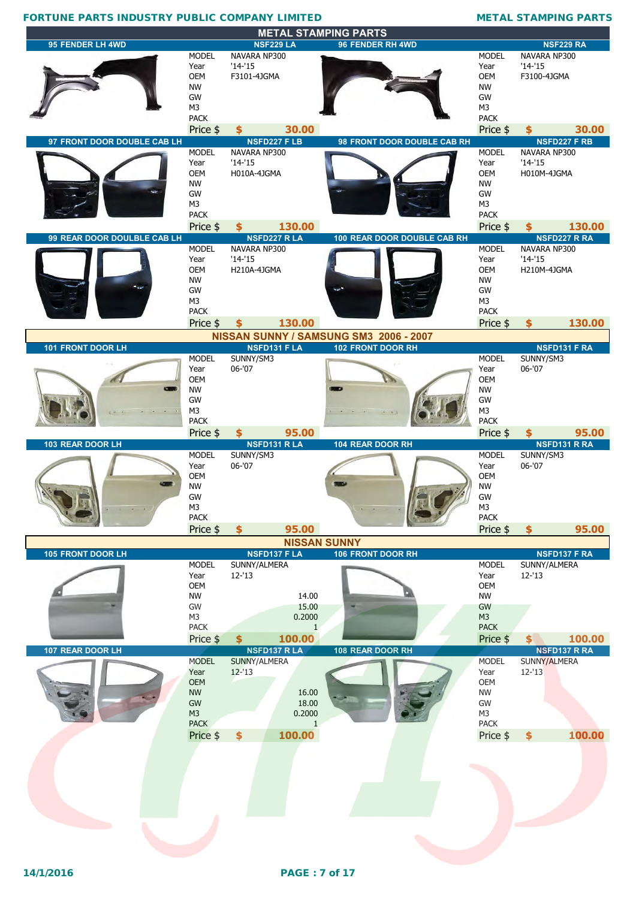|                             |                               |                              | <b>METAL STAMPING PARTS</b>            |                               |                           |                     |
|-----------------------------|-------------------------------|------------------------------|----------------------------------------|-------------------------------|---------------------------|---------------------|
| 95 FENDER LH 4WD            |                               | <b>NSF229 LA</b>             | 96 FENDER RH 4WD                       |                               |                           | <b>NSF229 RA</b>    |
|                             | <b>MODEL</b><br>Year          | NAVARA NP300<br>$'14-'15$    |                                        | <b>MODEL</b><br>Year          | NAVARA NP300<br>$'14-'15$ |                     |
|                             | <b>OEM</b>                    | F3101-4JGMA                  |                                        | <b>OEM</b>                    | F3100-4JGMA               |                     |
|                             | <b>NW</b>                     |                              |                                        | <b>NW</b>                     |                           |                     |
|                             | GW                            |                              |                                        | GW                            |                           |                     |
|                             | M <sub>3</sub><br><b>PACK</b> |                              |                                        | M <sub>3</sub><br><b>PACK</b> |                           |                     |
|                             | Price \$                      | 30.00<br>$\mathbf{\hat{S}}$  |                                        | Price \$                      | Ŝ.                        | 30.00               |
| 97 FRONT DOOR DOUBLE CAB LH |                               | <b>NSFD227 FLB</b>           | 98 FRONT DOOR DOUBLE CAB RH            |                               |                           | <b>NSFD227 F RB</b> |
|                             | <b>MODEL</b>                  | NAVARA NP300                 |                                        | <b>MODEL</b>                  | NAVARA NP300              |                     |
|                             | Year<br>OEM                   | $'14-'15$<br>H010A-4JGMA     |                                        | Year<br><b>OEM</b>            | $'14-'15$<br>H010M-4JGMA  |                     |
|                             | <b>NW</b>                     |                              |                                        | <b>NW</b>                     |                           |                     |
|                             | GW                            |                              |                                        | GW                            |                           |                     |
|                             | M <sub>3</sub><br><b>PACK</b> |                              |                                        | M <sub>3</sub><br><b>PACK</b> |                           |                     |
|                             | Price \$                      | 130.00<br>\$                 |                                        | Price \$                      | \$                        | 130.00              |
| 99 REAR DOOR DOULBLE CAB LH |                               | <b>NSFD227 RLA</b>           | 100 REAR DOOR DOUBLE CAB RH            |                               |                           | <b>NSFD227 R RA</b> |
|                             | <b>MODEL</b>                  | NAVARA NP300                 |                                        | <b>MODEL</b>                  | NAVARA NP300              |                     |
|                             | Year                          | $'14-'15$                    |                                        | Year                          | $'14-'15$                 |                     |
|                             | <b>OEM</b><br><b>NW</b>       | H210A-4JGMA                  |                                        | <b>OEM</b><br><b>NW</b>       | H210M-4JGMA               |                     |
|                             | GW                            |                              |                                        | GW                            |                           |                     |
|                             | M3                            |                              |                                        | M <sub>3</sub>                |                           |                     |
|                             | <b>PACK</b>                   |                              |                                        | <b>PACK</b>                   |                           |                     |
|                             | Price \$                      | 130.00<br>\$                 | NISSAN SUNNY / SAMSUNG SM3 2006 - 2007 | Price \$                      | \$                        | 130.00              |
| 101 FRONT DOOR LH           |                               | <b>NSFD131 F LA</b>          | 102 FRONT DOOR RH                      |                               |                           | NSFD131 F RA        |
|                             | <b>MODEL</b>                  | SUNNY/SM3                    |                                        | <b>MODEL</b>                  | SUNNY/SM3                 |                     |
|                             | Year                          | 06-'07                       |                                        | Year                          | 06-'07                    |                     |
|                             | <b>OEM</b><br><b>NW</b>       |                              |                                        | <b>OEM</b><br><b>NW</b>       |                           |                     |
|                             | GW                            |                              |                                        | GW                            |                           |                     |
|                             | M <sub>3</sub>                |                              |                                        | M <sub>3</sub>                |                           |                     |
|                             | <b>PACK</b>                   |                              |                                        | <b>PACK</b>                   |                           |                     |
|                             | Price \$                      | 95.00<br>\$                  |                                        |                               | \$                        |                     |
|                             |                               |                              |                                        | Price \$                      |                           | 95.00               |
| 103 REAR DOOR LH            |                               | <b>NSFD131 R LA</b>          | 104 REAR DOOR RH                       |                               |                           | NSFD131 R RA        |
|                             | <b>MODEL</b><br>Year          | SUNNY/SM3<br>$06 - 07$       |                                        | <b>MODEL</b><br>Year          | SUNNY/SM3<br>06-'07       |                     |
|                             | <b>OEM</b>                    |                              |                                        | <b>OEM</b>                    |                           |                     |
|                             | <b>NW</b>                     |                              |                                        | <b>NW</b>                     |                           |                     |
|                             | GW<br>M3                      |                              |                                        | GW<br>M3                      |                           |                     |
|                             | <b>PACK</b>                   |                              |                                        | <b>PACK</b>                   |                           |                     |
|                             | Price \$                      | 95.00<br>\$                  |                                        | Price \$                      | \$                        | 95.00               |
|                             |                               |                              | <b>NISSAN SUNNY</b>                    |                               |                           |                     |
| 105 FRONT DOOR LH           |                               | <b>NSFD137 F LA</b>          | 106 FRONT DOOR RH                      |                               |                           | <b>NSFD137 F RA</b> |
|                             | <b>MODEL</b><br>Year          | SUNNY/ALMERA<br>$12 - 13$    |                                        | <b>MODEL</b><br>Year          | SUNNY/ALMERA<br>$12 - 13$ |                     |
|                             | OEM                           |                              |                                        | <b>OEM</b>                    |                           |                     |
|                             | <b>NW</b>                     | 14.00                        |                                        | <b>NW</b>                     |                           |                     |
|                             | GW<br>M <sub>3</sub>          | 15.00<br>0.2000              |                                        | GW<br>M <sub>3</sub>          |                           |                     |
|                             | <b>PACK</b>                   | $\mathbf{1}$                 |                                        | <b>PACK</b>                   |                           |                     |
|                             | Price \$                      | 100.00<br>$\dot{\mathbf{s}}$ |                                        | Price \$                      | \$                        | 100.00              |
| 107 REAR DOOR LH            |                               | <b>NSFD137 R LA</b>          | 108 REAR DOOR RH                       |                               |                           | <b>NSFD137 R RA</b> |
|                             | <b>MODEL</b><br>Year          | SUNNY/ALMERA<br>$12 - 13$    |                                        | <b>MODEL</b><br>Year          | SUNNY/ALMERA<br>$12 - 13$ |                     |
|                             | <b>OEM</b>                    |                              |                                        | <b>OEM</b>                    |                           |                     |
|                             | <b>NW</b>                     | 16.00                        |                                        | <b>NW</b>                     |                           |                     |
|                             | GW<br>M <sub>3</sub>          | 18.00<br>0.2000              |                                        | GW<br>M <sub>3</sub>          |                           |                     |
|                             | <b>PACK</b>                   | $\mathbf{1}$                 |                                        | <b>PACK</b>                   |                           |                     |
|                             | Price \$                      | $\frac{1}{2}$<br>100.00      |                                        | Price \$                      | \$                        | 100.00              |
|                             |                               |                              |                                        |                               |                           |                     |
|                             |                               |                              |                                        |                               |                           |                     |
|                             |                               |                              |                                        |                               |                           |                     |
|                             |                               |                              |                                        |                               |                           |                     |
|                             |                               |                              |                                        |                               |                           |                     |
|                             |                               |                              |                                        |                               |                           |                     |
|                             |                               |                              |                                        |                               |                           |                     |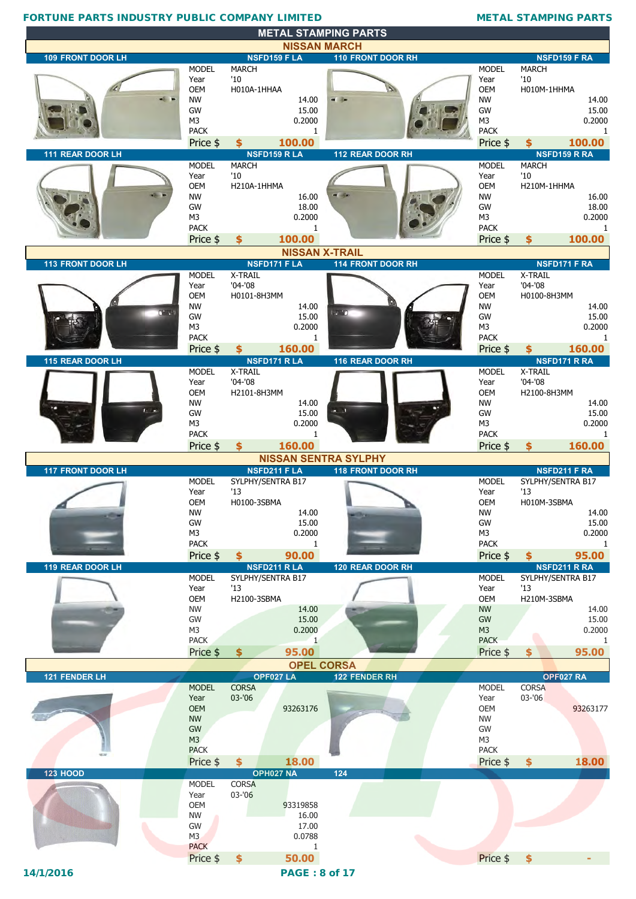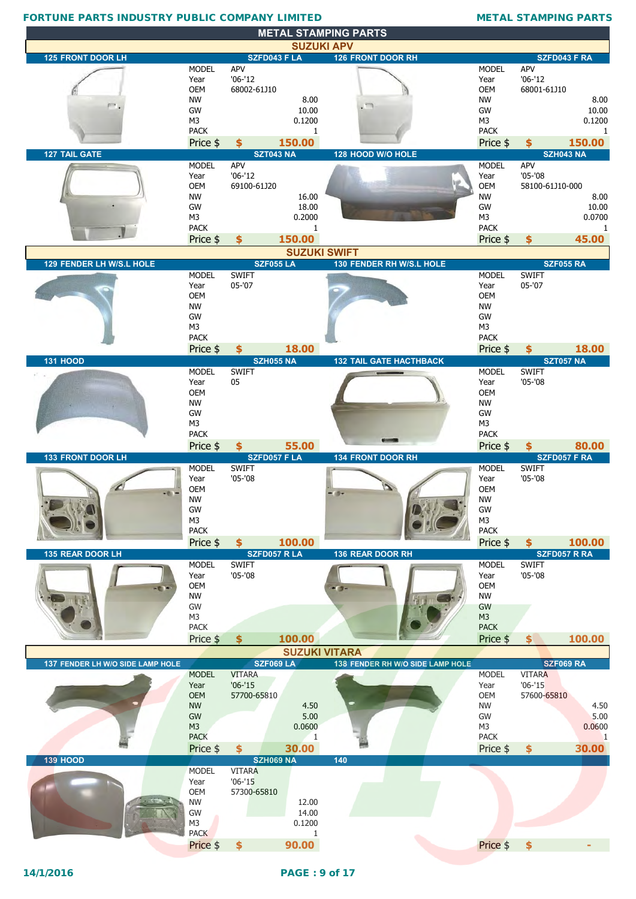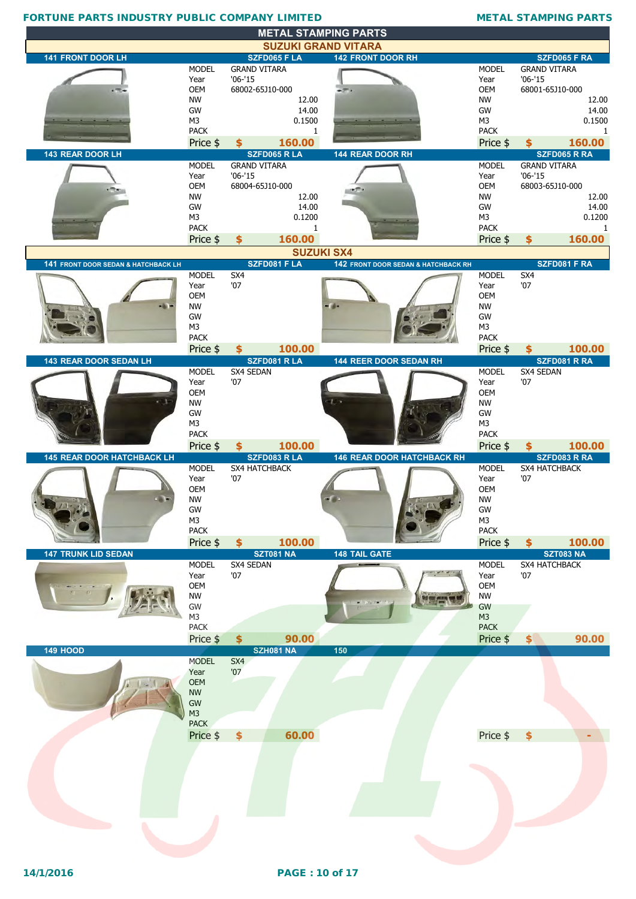|                                                |                               | <b>METAL STAMPING PARTS</b>             |                                                        |                               |                                       |
|------------------------------------------------|-------------------------------|-----------------------------------------|--------------------------------------------------------|-------------------------------|---------------------------------------|
| <b>141 FRONT DOOR LH</b>                       |                               | <b>SZFD065 F LA</b>                     | <b>SUZUKI GRAND VITARA</b><br><b>142 FRONT DOOR RH</b> |                               | SZFD065 F RA                          |
|                                                | <b>MODEL</b>                  | <b>GRAND VITARA</b>                     |                                                        | <b>MODEL</b>                  | <b>GRAND VITARA</b>                   |
|                                                | Year                          | $'06-'15$                               |                                                        | Year                          | $'06 - '15$                           |
|                                                | OEM<br><b>NW</b>              | 68002-65J10-000<br>12.00                | $-7.1$                                                 | OEM<br><b>NW</b>              | 68001-65J10-000<br>12.00              |
|                                                | GW                            | 14.00                                   |                                                        | GW                            | 14.00                                 |
|                                                | M3                            | 0.1500                                  |                                                        | M <sub>3</sub>                | 0.1500                                |
|                                                | <b>PACK</b><br>Price \$       | 1<br>160.00<br>\$                       |                                                        | <b>PACK</b><br>Price \$       | $\mathbf{1}$<br>160.00<br>\$          |
| 143 REAR DOOR LH                               |                               | <b>SZFD065 R LA</b>                     | 144 REAR DOOR RH                                       |                               | SZFD065 R RA                          |
|                                                | <b>MODEL</b>                  | <b>GRAND VITARA</b>                     |                                                        | <b>MODEL</b>                  | <b>GRAND VITARA</b>                   |
|                                                | Year<br><b>OEM</b>            | $'06-'15$<br>68004-65J10-000            |                                                        | Year<br>OEM                   | $'06 - '15$<br>68003-65J10-000        |
|                                                | <b>NW</b>                     | 12.00                                   |                                                        | <b>NW</b>                     | 12.00                                 |
|                                                | GW                            | 14.00                                   |                                                        | GW                            | 14.00                                 |
|                                                | M <sub>3</sub><br><b>PACK</b> | 0.1200<br>1                             |                                                        | M <sub>3</sub><br><b>PACK</b> | 0.1200<br>1                           |
|                                                | Price \$                      | 160.00<br>\$                            |                                                        | Price \$                      | 160.00<br>\$                          |
|                                                |                               |                                         | <b>SUZUKI SX4</b>                                      |                               |                                       |
| <b>141 FRONT DOOR SEDAN &amp; HATCHBACK LH</b> | <b>MODEL</b>                  | SZFD081 F LA<br>SX4                     | 142 FRONT DOOR SEDAN & HATCHBACK RH                    | <b>MODEL</b>                  | SZFD081 F RA<br>SX4                   |
|                                                | Year                          | '07                                     |                                                        | Year                          | '07                                   |
|                                                | OEM<br><b>NW</b>              |                                         |                                                        | OEM<br><b>NW</b>              |                                       |
|                                                | GW                            |                                         |                                                        | GW                            |                                       |
|                                                | M <sub>3</sub>                |                                         |                                                        | M3                            |                                       |
|                                                | <b>PACK</b><br>Price \$       | 100.00<br>\$                            |                                                        | <b>PACK</b><br>Price \$       | 100.00<br>\$                          |
| 143 REAR DOOR SEDAN LH                         |                               | SZFD081 R LA                            | 144 REER DOOR SEDAN RH                                 |                               | SZFD081 R RA                          |
|                                                | <b>MODEL</b><br>Year          | SX4 SEDAN<br>'07                        |                                                        | <b>MODEL</b><br>Year          | SX4 SEDAN<br>'07                      |
|                                                | OEM                           |                                         |                                                        | <b>OEM</b>                    |                                       |
|                                                | <b>NW</b><br>GW               |                                         |                                                        | <b>NW</b><br>GW               |                                       |
|                                                | M <sub>3</sub>                |                                         |                                                        | M3                            |                                       |
|                                                | <b>PACK</b>                   |                                         |                                                        | <b>PACK</b>                   |                                       |
| <b>145 REAR DOOR HATCHBACK LH</b>              | Price \$                      | 100.00<br>$\frac{1}{2}$<br>SZFD083 R LA | <b>146 REAR DOOR HATCHBACK RH</b>                      | Price \$                      | 100.00<br>\$<br>SZFD083 R RA          |
|                                                | <b>MODEL</b>                  | SX4 HATCHBACK                           |                                                        | <b>MODEL</b>                  | <b>SX4 HATCHBACK</b>                  |
|                                                | Year                          | '07                                     |                                                        | Year                          | '07                                   |
|                                                |                               |                                         |                                                        |                               |                                       |
|                                                | OEM                           |                                         |                                                        | <b>OEM</b>                    |                                       |
|                                                | <b>NW</b><br>GW               |                                         | $25 - 11$                                              | <b>NW</b><br>GW               |                                       |
|                                                | M <sub>3</sub>                |                                         |                                                        | M <sub>3</sub>                |                                       |
|                                                | <b>PACK</b>                   | 100.00<br>$\frac{1}{2}$                 |                                                        | <b>PACK</b>                   | 100.00<br>$\frac{1}{2}$               |
| <b>147 TRUNK LID SEDAN</b>                     | Price \$                      | <b>SZT081 NA</b>                        | <b>148 TAIL GATE</b>                                   | Price \$                      | <b>SZT083 NA</b>                      |
|                                                | <b>MODEL</b>                  | SX4 SEDAN<br>'07                        |                                                        | <b>MODEL</b>                  | SX4 HATCHBACK<br>'07                  |
|                                                | Year<br>OEM                   |                                         |                                                        | Year<br>OEM                   |                                       |
|                                                | <b>NW</b>                     |                                         |                                                        | <b>NW</b>                     |                                       |
|                                                | GW<br>M <sub>3</sub>          |                                         |                                                        | GW<br>M <sub>3</sub>          |                                       |
|                                                | PACK                          |                                         |                                                        | <b>PACK</b>                   |                                       |
|                                                | Price \$                      | 90.00<br>$\frac{1}{2}$                  |                                                        | Price \$                      | 90.00<br>$\left  \mathbf{\$} \right $ |
| <b>149 HOOD</b>                                | <b>MODEL</b>                  | <b>SZH081 NA</b><br>SX4                 | 150                                                    |                               |                                       |
|                                                | Year                          | '07                                     |                                                        |                               |                                       |
|                                                | <b>OEM</b><br><b>NW</b>       |                                         |                                                        |                               |                                       |
|                                                | GW                            |                                         |                                                        |                               |                                       |
|                                                | M <sub>3</sub><br><b>PACK</b> |                                         |                                                        |                               |                                       |
|                                                | Price \$                      | 60.00<br>$\frac{1}{2}$                  |                                                        | Price \$                      | \$                                    |
|                                                |                               |                                         |                                                        |                               |                                       |
|                                                |                               |                                         |                                                        |                               |                                       |
|                                                |                               |                                         |                                                        |                               |                                       |
|                                                |                               |                                         |                                                        |                               |                                       |
|                                                |                               |                                         |                                                        |                               |                                       |
|                                                |                               |                                         |                                                        |                               |                                       |
|                                                |                               |                                         |                                                        |                               |                                       |
|                                                |                               |                                         |                                                        |                               |                                       |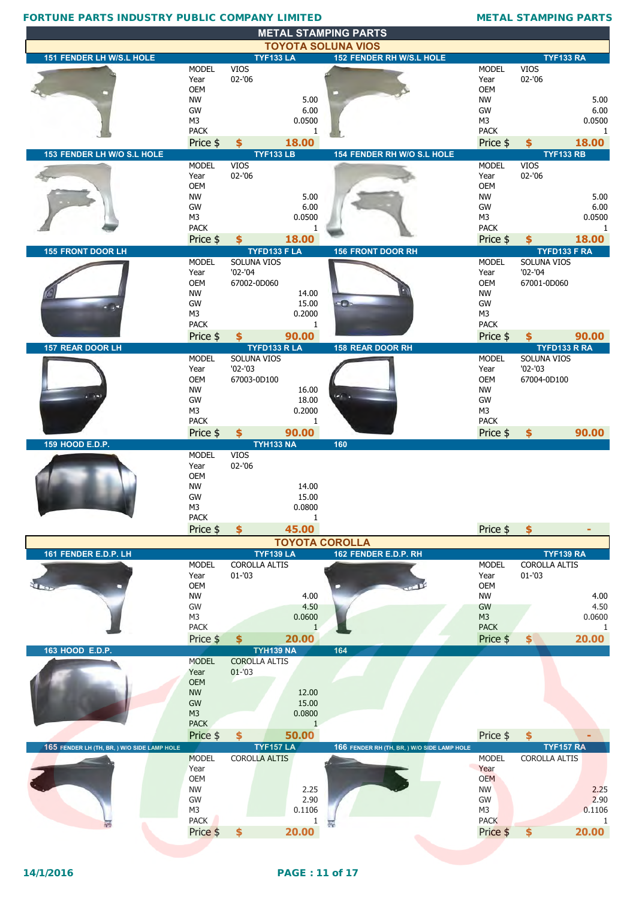|                                             |                         |                                   |                 | <b>METAL STAMPING PARTS</b>                                  |                         |                                          |              |
|---------------------------------------------|-------------------------|-----------------------------------|-----------------|--------------------------------------------------------------|-------------------------|------------------------------------------|--------------|
| 151 FENDER LH W/S.L HOLE                    |                         | <b>TYF133 LA</b>                  |                 | <b>TOYOTA SOLUNA VIOS</b><br><b>152 FENDER RH W/S.L HOLE</b> |                         | <b>TYF133 RA</b>                         |              |
|                                             | <b>MODEL</b>            | <b>VIOS</b>                       |                 |                                                              | <b>MODEL</b>            | <b>VIOS</b>                              |              |
|                                             | Year                    | $02 - 06$                         |                 |                                                              | Year                    | 02-'06                                   |              |
|                                             | <b>OEM</b>              |                                   |                 |                                                              | <b>OEM</b>              |                                          |              |
|                                             | <b>NW</b><br>GW         |                                   | 5.00<br>6.00    |                                                              | <b>NW</b><br>GW         |                                          | 5.00<br>6.00 |
|                                             | M3                      |                                   | 0.0500          |                                                              | M <sub>3</sub>          |                                          | 0.0500       |
|                                             | <b>PACK</b>             |                                   | 1               |                                                              | <b>PACK</b>             |                                          | 1            |
| 153 FENDER LH W/O S.L HOLE                  | Price \$                | \$<br><b>TYF133 LB</b>            | 18.00           | 154 FENDER RH W/O S.L HOLE                                   | Price \$                | \$<br><b>TYF133 RB</b>                   | 18.00        |
|                                             | <b>MODEL</b>            | <b>VIOS</b>                       |                 |                                                              | <b>MODEL</b>            | <b>VIOS</b>                              |              |
|                                             | Year                    | 02-'06                            |                 |                                                              | Year                    | 02-'06                                   |              |
|                                             | <b>OEM</b>              |                                   |                 |                                                              | <b>OEM</b>              |                                          |              |
|                                             | <b>NW</b><br>GW         |                                   | 5.00<br>6.00    |                                                              | <b>NW</b><br>GW         |                                          | 5.00<br>6.00 |
|                                             | M3                      |                                   | 0.0500          |                                                              | M <sub>3</sub>          |                                          | 0.0500       |
|                                             | <b>PACK</b>             |                                   | 1               |                                                              | <b>PACK</b>             |                                          | $\mathbf{1}$ |
|                                             | Price \$                | \$<br>TYFD133 F LA                | 18.00           |                                                              | Price \$                | \$                                       | 18.00        |
| <b>155 FRONT DOOR LH</b>                    | <b>MODEL</b>            | SOLUNA VIOS                       |                 | <b>156 FRONT DOOR RH</b>                                     | <b>MODEL</b>            | TYFD133 F RA<br>SOLUNA VIOS              |              |
|                                             | Year                    | $'02 - '04$                       |                 |                                                              | Year                    | $'02 - '04$                              |              |
|                                             | OEM                     | 67002-0D060                       |                 |                                                              | <b>OEM</b>              | 67001-0D060                              |              |
|                                             | <b>NW</b><br>GW         |                                   | 14.00<br>15.00  | $\bullet$                                                    | <b>NW</b><br>GW         |                                          |              |
|                                             | M3                      |                                   | 0.2000          |                                                              | M <sub>3</sub>          |                                          |              |
|                                             | <b>PACK</b>             |                                   | 1               |                                                              | <b>PACK</b>             |                                          |              |
|                                             | Price \$                | \$                                | 90.00           |                                                              | Price \$                | \$                                       | 90.00        |
| 157 REAR DOOR LH                            | <b>MODEL</b>            | TYFD133 R LA<br>SOLUNA VIOS       |                 | 158 REAR DOOR RH                                             | <b>MODEL</b>            | TYFD133 R RA<br>SOLUNA VIOS              |              |
|                                             | Year                    | $'02 - '03$                       |                 |                                                              | Year                    | $'02 - '03$                              |              |
|                                             | OEM                     | 67003-0D100                       |                 |                                                              | <b>OEM</b>              | 67004-0D100                              |              |
| (1, 1)                                      | <b>NW</b><br>GW         |                                   | 16.00           | $\overline{(\bullet)}$ .                                     | NW<br><b>GW</b>         |                                          |              |
|                                             | M <sub>3</sub>          |                                   | 18.00<br>0.2000 |                                                              | M <sub>3</sub>          |                                          |              |
|                                             | <b>PACK</b>             |                                   | $\mathbf{1}$    |                                                              | <b>PACK</b>             |                                          |              |
|                                             | Price \$                | \$                                | 90.00           |                                                              | Price \$                | $\frac{1}{2}$                            | 90.00        |
| 159 HOOD E.D.P.                             | <b>MODEL</b>            | <b>TYH133 NA</b><br>VIOS          |                 | 160                                                          |                         |                                          |              |
|                                             | Year                    | 02-'06                            |                 |                                                              |                         |                                          |              |
|                                             | <b>OEM</b>              |                                   |                 |                                                              |                         |                                          |              |
|                                             | <b>NW</b><br>GW         |                                   | 14.00           |                                                              |                         |                                          |              |
|                                             | M <sub>3</sub>          |                                   | 15.00<br>0.0800 |                                                              |                         |                                          |              |
|                                             | <b>PACK</b>             |                                   | 1               |                                                              |                         |                                          |              |
|                                             | Price \$                | \$                                | 45.00           |                                                              | Price \$                | \$                                       |              |
|                                             |                         |                                   |                 | <b>TOYOTA COROLLA</b>                                        |                         |                                          |              |
| 161 FENDER E.D.P. LH                        | <b>MODEL</b>            | <b>TYF139 LA</b><br>COROLLA ALTIS |                 | 162 FENDER E.D.P. RH                                         | <b>MODEL</b>            | <b>TYF139 RA</b><br><b>COROLLA ALTIS</b> |              |
|                                             | Year                    | $01 - 03$                         |                 |                                                              | Year                    | $01 - 03$                                |              |
|                                             | OEM                     |                                   |                 |                                                              | <b>OEM</b>              |                                          |              |
|                                             | <b>NW</b><br>GW         |                                   | 4.00<br>4.50    |                                                              | <b>NW</b><br>GW         |                                          | 4.00<br>4.50 |
|                                             | M3                      |                                   | 0.0600          |                                                              | M <sub>3</sub>          |                                          | 0.0600       |
|                                             | <b>PACK</b>             |                                   | $\mathbf{1}$    |                                                              | <b>PACK</b>             |                                          | -1           |
| 163 HOOD E.D.P.                             | Price \$                | \$<br><b>TYH139 NA</b>            | 20.00           | 164                                                          | Price \$                | $\frac{1}{2}$                            | 20.00        |
|                                             | <b>MODEL</b>            | <b>COROLLA ALTIS</b>              |                 |                                                              |                         |                                          |              |
|                                             | Year                    | $01 - 03$                         |                 |                                                              |                         |                                          |              |
|                                             | <b>OEM</b><br><b>NW</b> |                                   | 12.00           |                                                              |                         |                                          |              |
|                                             | GW                      |                                   | 15.00           |                                                              |                         |                                          |              |
|                                             | M <sub>3</sub>          |                                   | 0.0800          |                                                              |                         |                                          |              |
|                                             | <b>PACK</b>             |                                   | $\mathbf{1}$    |                                                              |                         |                                          |              |
| 165 FENDER LH (TH, BR, ) W/O SIDE LAMP HOLE | Price \$                | \$<br><b>TYF157 LA</b>            | 50.00           | 166 FENDER RH (TH, BR, ) W/O SIDE LAMP HOLE                  | Price \$                | $\frac{1}{2}$<br><b>TYF157 RA</b>        |              |
|                                             | <b>MODEL</b>            | <b>COROLLA ALTIS</b>              |                 |                                                              | <b>MODEL</b>            | <b>COROLLA ALTIS</b>                     |              |
|                                             | Year                    |                                   |                 |                                                              | Year                    |                                          |              |
|                                             | <b>OEM</b><br><b>NW</b> |                                   | 2.25            |                                                              | <b>OEM</b><br><b>NW</b> |                                          | 2.25         |
|                                             | GW                      |                                   | 2.90            |                                                              | GW                      |                                          | 2.90         |
|                                             | M3                      |                                   | 0.1106          |                                                              | M3                      |                                          | 0.1106       |
|                                             | <b>PACK</b><br>Price \$ | $\frac{1}{2}$                     | 1<br>20.00      |                                                              | <b>PACK</b><br>Price \$ | \$                                       | 1<br>20.00   |
|                                             |                         |                                   |                 |                                                              |                         |                                          |              |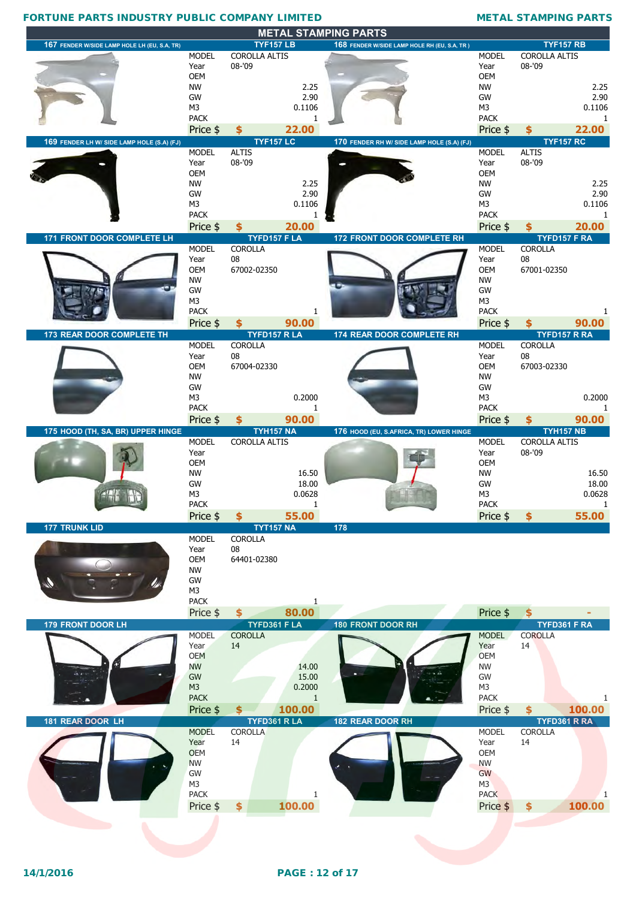|                                              |                               |                        | <b>METAL STAMPING PARTS</b>                  |                               |                                |              |
|----------------------------------------------|-------------------------------|------------------------|----------------------------------------------|-------------------------------|--------------------------------|--------------|
| 167 FENDER W/SIDE LAMP HOLE LH (EU, S.A, TR) |                               | <b>TYF157 LB</b>       | 168 FENDER W/SIDE LAMP HOLE RH (EU, S.A, TR) |                               | <b>TYF157 RB</b>               |              |
|                                              | <b>MODEL</b>                  | COROLLA ALTIS          |                                              | <b>MODEL</b>                  | COROLLA ALTIS                  |              |
|                                              | Year                          | 08-'09                 |                                              | Year                          | 08-'09                         |              |
|                                              | <b>OEM</b>                    |                        |                                              | <b>OEM</b>                    |                                |              |
|                                              | <b>NW</b>                     | 2.25                   |                                              | <b>NW</b>                     |                                | 2.25         |
|                                              | GW                            | 2.90                   |                                              | GW                            |                                | 2.90         |
|                                              | M <sub>3</sub><br><b>PACK</b> | 0.1106<br>1            |                                              | M <sub>3</sub><br><b>PACK</b> |                                | 0.1106<br>-1 |
|                                              |                               | 22.00<br>\$            |                                              |                               |                                | 22.00        |
|                                              | Price \$                      | <b>TYF157 LC</b>       | 170 FENDER RH W/ SIDE LAMP HOLE (S.A) (FJ)   | Price \$                      | S<br><b>TYF157 RC</b>          |              |
| 169 FENDER LH W/ SIDE LAMP HOLE (S.A) (FJ)   | <b>MODEL</b>                  | <b>ALTIS</b>           |                                              | <b>MODEL</b>                  | <b>ALTIS</b>                   |              |
|                                              | Year                          | 08-'09                 |                                              | Year                          | 08-'09                         |              |
|                                              | <b>OEM</b>                    |                        |                                              | <b>OEM</b>                    |                                |              |
|                                              | <b>NW</b>                     | 2.25                   |                                              | <b>NW</b>                     |                                | 2.25         |
|                                              | GW                            | 2.90                   |                                              | GW                            |                                | 2.90         |
|                                              | M <sub>3</sub>                | 0.1106                 |                                              | M <sub>3</sub>                |                                | 0.1106       |
|                                              | <b>PACK</b>                   | 1                      |                                              | <b>PACK</b>                   |                                | -1           |
|                                              | Price \$                      | 20.00<br>\$            |                                              | Price \$                      | \$                             | 20.00        |
| 171 FRONT DOOR COMPLETE LH                   |                               | TYFD157 F LA           | <b>172 FRONT DOOR COMPLETE RH</b>            |                               | TYFD157 F RA                   |              |
|                                              | <b>MODEL</b>                  | <b>COROLLA</b>         |                                              | <b>MODEL</b>                  | <b>COROLLA</b>                 |              |
|                                              | Year<br><b>OEM</b>            | 08                     |                                              | Year<br><b>OEM</b>            | ${\bf 08}$                     |              |
|                                              | <b>NW</b>                     | 67002-02350            |                                              | <b>NW</b>                     | 67001-02350                    |              |
|                                              | GW                            |                        |                                              | GW                            |                                |              |
|                                              | M <sub>3</sub>                |                        |                                              | M <sub>3</sub>                |                                |              |
|                                              | <b>PACK</b>                   | 1                      |                                              | <b>PACK</b>                   |                                |              |
|                                              | Price \$                      | 90.00<br>\$            |                                              | Price \$                      |                                | 90.00        |
| 173 REAR DOOR COMPLETE TH                    |                               | TYFD157 R LA           | 174 REAR DOOR COMPLETE RH                    |                               | TYFD157 R RA                   |              |
|                                              | <b>MODEL</b>                  | <b>COROLLA</b>         |                                              | <b>MODEL</b>                  | <b>COROLLA</b>                 |              |
|                                              | Year                          | 08                     |                                              | Year                          | 08                             |              |
|                                              | <b>OEM</b>                    | 67004-02330            |                                              | <b>OEM</b>                    | 67003-02330                    |              |
|                                              | <b>NW</b>                     |                        |                                              | <b>NW</b>                     |                                |              |
|                                              | GW                            |                        |                                              | GW                            |                                |              |
|                                              | M <sub>3</sub><br><b>PACK</b> | 0.2000<br>1            |                                              | M <sub>3</sub><br><b>PACK</b> |                                | 0.2000       |
|                                              | Price \$                      | 90.00<br>\$            |                                              | Price \$                      | \$                             | 90.00        |
| 175 HOOD (TH, SA, BR) UPPER HINGE            |                               |                        |                                              |                               |                                |              |
|                                              |                               |                        |                                              |                               |                                |              |
|                                              |                               | <b>TYH157 NA</b>       | 176 HOOD (EU, S.AFRICA, TR) LOWER HINGE      |                               | <b>TYH157 NB</b>               |              |
|                                              | <b>MODEL</b><br>Year          | <b>COROLLA ALTIS</b>   |                                              | <b>MODEL</b><br>Year          | <b>COROLLA ALTIS</b><br>08-'09 |              |
|                                              | OEM                           |                        |                                              | OEM                           |                                |              |
|                                              | <b>NW</b>                     | 16.50                  |                                              | <b>NW</b>                     |                                | 16.50        |
|                                              | GW                            | 18.00                  |                                              | GW                            |                                | 18.00        |
|                                              | M <sub>3</sub>                | 0.0628                 |                                              | M <sub>3</sub>                |                                | 0.0628       |
|                                              | <b>PACK</b>                   | 1                      |                                              | <b>PACK</b>                   |                                | -1           |
|                                              | Price \$                      | 55.00<br>$\frac{1}{2}$ |                                              | Price \$                      | $\frac{1}{2}$                  | 55.00        |
| <b>177 TRUNK LID</b>                         |                               | <b>TYT157 NA</b>       | 178                                          |                               |                                |              |
|                                              | <b>MODEL</b>                  | <b>COROLLA</b>         |                                              |                               |                                |              |
|                                              | Year<br><b>OEM</b>            | 08<br>64401-02380      |                                              |                               |                                |              |
|                                              | <b>NW</b>                     |                        |                                              |                               |                                |              |
|                                              | GW                            |                        |                                              |                               |                                |              |
|                                              | M3                            |                        |                                              |                               |                                |              |
|                                              | <b>PACK</b>                   | $\mathbf{1}$           |                                              |                               |                                |              |
|                                              | Price \$                      | 80.00<br>$$^{\circ}$   |                                              | Price \$                      | $\frac{1}{2}$                  |              |
| 179 FRONT DOOR LH                            |                               | TYFD361 F LA           | <b>180 FRONT DOOR RH</b>                     |                               | TYFD361 F RA                   |              |
|                                              | <b>MODEL</b>                  | <b>COROLLA</b>         |                                              | <b>MODEL</b>                  | <b>COROLLA</b>                 |              |
|                                              | Year                          | 14                     |                                              | Year                          | 14                             |              |
|                                              | <b>OEM</b><br><b>NW</b>       | 14.00                  |                                              | <b>OEM</b><br><b>NW</b>       |                                |              |
|                                              | GW                            | 15.00                  |                                              | GW                            |                                |              |
|                                              | M <sub>3</sub>                | 0.2000                 |                                              | M <sub>3</sub>                |                                |              |
|                                              | <b>PACK</b>                   | $\mathbf{1}$           |                                              | <b>PACK</b>                   |                                | 1            |
|                                              | Price \$                      | 100.00<br>\$           |                                              | Price \$                      | \$                             | 100.00       |
| 181 REAR DOOR LH                             |                               | TYFD361 RLA            | 182 REAR DOOR RH                             |                               | TYFD361 R RA                   |              |
|                                              | <b>MODEL</b>                  | COROLLA                |                                              | <b>MODEL</b>                  | COROLLA                        |              |
|                                              | Year                          | 14                     |                                              | Year                          | 14                             |              |
|                                              | <b>OEM</b>                    |                        |                                              | <b>OEM</b>                    |                                |              |
|                                              | <b>NW</b>                     |                        |                                              | <b>NW</b>                     |                                |              |
|                                              | GW                            |                        |                                              | GW                            |                                |              |
|                                              | M <sub>3</sub>                | 1                      |                                              | M3                            |                                |              |
|                                              | <b>PACK</b>                   |                        |                                              | <b>PACK</b>                   |                                |              |
|                                              | Price \$                      | \$<br>100.00           |                                              | Price \$                      | \$                             | 100.00       |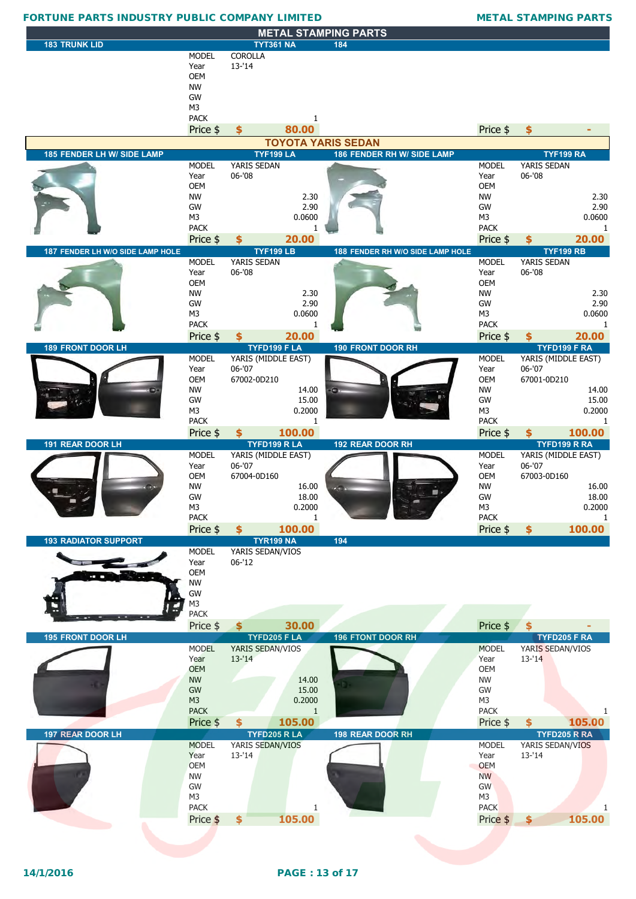### **METAL STAMPING PARTS 183 TRUNK LID TYT361 NA 184** MODEL COROLLA Year 13-'14 OEM NW GW M3 PACK 1 Price \$ **\$ 80.00** Price \$ **\$ - 185 FENDER LH W/ SIDE LAMP TYF199 LA 186 FENDER RH W/ SIDE LAMP TYF199 RA** MODEL YARIS SEDAN MODEL YARIS SEDAN Year 06-'08 Year 06-'08 OEM OEM NW 2.30 NW 2.30 GW 2.90 GW 2.90 M3 0.0600 0.0600 M3 M3 0.0600 PACK 1 PACK 1 Price \$ **\$ 20.00** Price \$ **\$ 20.00 187 FENDER LH W/O SIDE LAMP HOLE TYF199 LB 188 FENDER RH W/O SIDE LAMP HOLE TYF199 RB** YARIS SEDAN Year 06-'08 Year 06-'08 OEM OEM NW 2.30 NW 2.30 GW 2.90 GW 2.90 M3 0.0600 M3 0.0600 M3 0.0600 M3 0.0600 M3 0.0600 M3 0.0600 M3 0.0600 M3 0.0600 M PACK 1 **1 PACK** 1 Price \$ **\$ 20.00** Price \$ **\$ 20.00 189 FRONT DOOR LH TYFD199 F LA 190 FRONT DOOR RH TYFD199 F RA** MODEL YARIS (MIDDLE EAST) MODEL YARIS (MIDDLE EAST)<br>Year 06-'07 Year 06-'07 Year 06-'07 Year 06-'07 OEM 67002-0D210 OEM 67001-0D210 NW 14.00  $\epsilon$  -  $\frac{14.00}{14.00}$  NW NW 14.00 GW 15.00 **GW** 15.00 **GW** 15.00 M3 0.2000 0.2000 M3 0.2000 0.2000 M3 M3 0.2000 0.2000 M3 0.2000 0.2000 M3 0.2000 0.2000 M3 0.2000 0.2000 0.2000 PACK 1 1 PACK 1 Price \$ **\$ 100.00** Price \$ **\$ 100.00 191 REAR DOOR LH TYFD199 R LA 192 REAR DOOR RH TYFD199 R RA** MODEL YARIS (MIDDLE EAST) MODEL YARIS (MIDDLE EAST) Year 06-'07 Year 06-'07 OEM 67004-0D160 16.00 CEM 67003-0D160 NW 16.00  $\sqrt{2}$  NW NW 16.00 GW 18.00 18.00 GW GW 18.00 M3 0.2000 0.2000 M3 0.2000 0.2000 M3 0.2000 M3 0.2000 M3 0.2000 M3 0.2000 M3 0.2000 0.2000 M3 0.2000 0.2000 M3 0.2000 0.2000 0.2000 0.2000 0.2000 0.2000 0.2000 0.2000 0.2000 0.2000 0.2000 0.2000 0.2000 0.2000 0.2000 0.2000 PACK 1 PACK 1 Price \$ **\$ 100.00** Price \$ **\$ 100.00 193 RADIATOR SUPPORT TYR199 NA 194** MODEL YARIS SEDAN/VIOS Year 06-'12 OEM NW GW M3 PACK Price \$ **\$ 30.00** Price \$ **\$ - 195 FRONT DOOR LH TYFD205 F LA 196 FTONT DOOR RH TYFD205 F RA** MODEL YARIS SEDAN/VIOS MODEL YARIS SEDAN/VIOS Year 13-'14 Year 13-'14 OEM OEM NW 14.00 NW GW 15.00 GW M3 0.2000 M3 0.2000 M3 0.2000 M3 0.2000 M3 PACK 1 PACK 1 Price \$ **\$ 105.00** Price \$ **\$ 105.00 197 REAR DOOR LH TYFD205 R LA 198 REAR DOOR RH TYFD205 R RA** MODEL YARIS SEDAN/VIOS MODEL YARIS SEDAN/VIOS Year 13-'14 Year 13-'14 OEM OEM NW NW GW GW M3 M3 PACK 1 PACK 1 Price \$ **\$ 105.00** Price \$ **\$ 105.00 TOYOTA YARIS SEDAN** FORTUNE PARTS INDUSTRY PUBLIC COMPANY LIMITED METAL STAMPING PARTS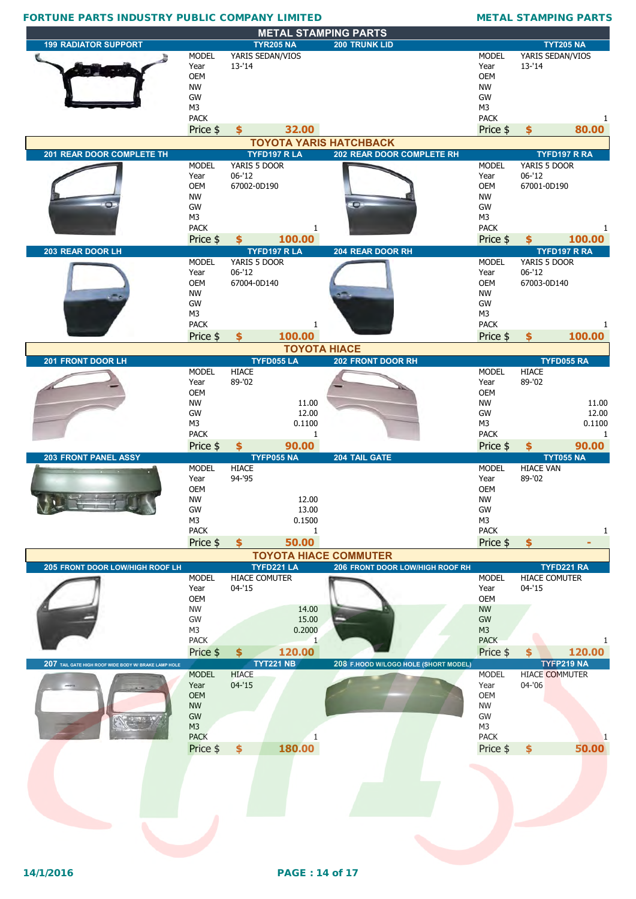|                                                      |                      |                                     | <b>METAL STAMPING PARTS</b>          |                    |                            |                     |
|------------------------------------------------------|----------------------|-------------------------------------|--------------------------------------|--------------------|----------------------------|---------------------|
| <b>199 RADIATOR SUPPORT</b>                          |                      | <b>TYR205 NA</b>                    | <b>200 TRUNK LID</b>                 |                    |                            | <b>TYT205 NA</b>    |
|                                                      | <b>MODEL</b>         | YARIS SEDAN/VIOS                    |                                      | <b>MODEL</b>       | YARIS SEDAN/VIOS           |                     |
|                                                      | Year                 | $13 - 14$                           |                                      | Year               | $13 - 14$                  |                     |
|                                                      | <b>OEM</b>           |                                     |                                      | <b>OEM</b>         |                            |                     |
|                                                      | <b>NW</b>            |                                     |                                      | <b>NW</b>          |                            |                     |
|                                                      | GW                   |                                     |                                      | GW                 |                            |                     |
|                                                      | M <sub>3</sub>       |                                     |                                      | M <sub>3</sub>     |                            |                     |
|                                                      | <b>PACK</b>          |                                     |                                      | <b>PACK</b>        |                            | 1                   |
|                                                      | Price \$             | 32.00<br>$\mathbf{s}$               |                                      | Price \$           | \$                         | 80.00               |
|                                                      |                      |                                     | <b>TOYOTA YARIS HATCHBACK</b>        |                    |                            |                     |
| 201 REAR DOOR COMPLETE TH                            |                      | TYFD197 R LA                        | 202 REAR DOOR COMPLETE RH            |                    |                            | <b>TYFD197 R RA</b> |
|                                                      | <b>MODEL</b><br>Year | YARIS 5 DOOR<br>$06 - 12$           |                                      | <b>MODEL</b>       | YARIS 5 DOOR<br>$06 - 12$  |                     |
|                                                      | <b>OEM</b>           | 67002-0D190                         |                                      | Year<br><b>OEM</b> | 67001-0D190                |                     |
|                                                      | <b>NW</b>            |                                     |                                      | <b>NW</b>          |                            |                     |
|                                                      | GW                   |                                     | $\bullet$                            | GW                 |                            |                     |
|                                                      | M3                   |                                     |                                      | M <sub>3</sub>     |                            |                     |
|                                                      | <b>PACK</b>          | $\mathbf{1}$                        |                                      | <b>PACK</b>        |                            | 1                   |
|                                                      | Price \$             | 100.00<br>$\boldsymbol{\mathsf{s}}$ |                                      | Price \$           | \$                         | 100.00              |
| 203 REAR DOOR LH                                     |                      | <b>TYFD197 R LA</b>                 | 204 REAR DOOR RH                     |                    |                            | TYFD197 R RA        |
|                                                      | <b>MODEL</b>         | YARIS 5 DOOR                        |                                      | <b>MODEL</b>       | YARIS 5 DOOR               |                     |
|                                                      | Year                 | $06 - 12$                           |                                      | Year               | $06 - 12$                  |                     |
|                                                      | OEM                  | 67004-0D140                         |                                      | <b>OEM</b>         | 67003-0D140                |                     |
|                                                      | <b>NW</b>            |                                     |                                      | <b>NW</b>          |                            |                     |
|                                                      | GW                   |                                     |                                      | GW                 |                            |                     |
|                                                      | M3                   |                                     |                                      | M3                 |                            |                     |
|                                                      | <b>PACK</b>          | 1                                   |                                      | <b>PACK</b>        |                            | 1                   |
|                                                      | Price \$             | 100.00<br>\$                        |                                      | Price \$           | \$                         | 100.00              |
|                                                      |                      |                                     | <b>TOYOTA HIACE</b>                  |                    |                            |                     |
| 201 FRONT DOOR LH                                    |                      | <b>TYFD055 LA</b>                   | 202 FRONT DOOR RH                    |                    |                            | TYFD055 RA          |
|                                                      | <b>MODEL</b>         | <b>HIACE</b>                        |                                      | <b>MODEL</b>       | <b>HIACE</b>               |                     |
|                                                      | Year<br><b>OEM</b>   | 89-'02                              |                                      | Year<br><b>OEM</b> | 89-'02                     |                     |
|                                                      | <b>NW</b>            | 11.00                               |                                      | <b>NW</b>          |                            | 11.00               |
|                                                      | GW                   | 12.00                               |                                      | GW                 |                            | 12.00               |
|                                                      | M <sub>3</sub>       | 0.1100                              |                                      | M <sub>3</sub>     |                            | 0.1100              |
|                                                      | <b>PACK</b>          | $\mathbf{1}$                        |                                      | <b>PACK</b>        |                            | 1                   |
|                                                      | Price \$             | 90.00<br>$\boldsymbol{\mathsf{s}}$  |                                      | Price \$           | \$                         | 90.00               |
|                                                      |                      |                                     |                                      |                    |                            |                     |
| <b>203 FRONT PANEL ASSY</b>                          |                      | <b>TYFP055 NA</b>                   | 204 TAIL GATE                        |                    |                            | <b>TYT055 NA</b>    |
|                                                      | <b>MODEL</b>         | <b>HIACE</b>                        |                                      | <b>MODEL</b>       | <b>HIACE VAN</b>           |                     |
|                                                      | Year                 | 94-'95                              |                                      | Year               | 89-'02                     |                     |
|                                                      | <b>OEM</b>           |                                     |                                      | <b>OEM</b>         |                            |                     |
|                                                      | <b>NW</b>            | 12.00                               |                                      | <b>NW</b>          |                            |                     |
|                                                      | GW                   | 13.00                               |                                      | GW                 |                            |                     |
|                                                      | M3                   | 0.1500                              |                                      | M <sub>3</sub>     |                            |                     |
|                                                      | <b>PACK</b>          | 1                                   |                                      | <b>PACK</b>        |                            |                     |
|                                                      | Price \$             | 50.00<br>$\frac{1}{2}$              |                                      | Price \$           | \$                         |                     |
|                                                      |                      |                                     | <b>TOYOTA HIACE COMMUTER</b>         |                    |                            |                     |
| 205 FRONT DOOR LOW/HIGH ROOF LH                      | <b>MODEL</b>         | TYFD221 LA                          | 206 FRONT DOOR LOW/HIGH ROOF RH      | <b>MODEL</b>       |                            | TYFD221 RA          |
|                                                      | Year                 | <b>HIACE COMUTER</b><br>$04 - 15$   |                                      | Year               | HIACE COMUTER<br>$04 - 15$ |                     |
|                                                      | OEM                  |                                     |                                      | <b>OEM</b>         |                            |                     |
|                                                      | <b>NW</b>            | 14.00                               |                                      | <b>NW</b>          |                            |                     |
|                                                      | GW                   | 15.00                               |                                      | ${\sf GW}$         |                            |                     |
|                                                      | M3                   | 0.2000                              |                                      | M <sub>3</sub>     |                            |                     |
|                                                      | <b>PACK</b>          | $\mathbf{1}$                        |                                      | <b>PACK</b>        |                            |                     |
|                                                      | Price \$             | 120.00<br>\$                        |                                      | Price \$           | \$                         | 120.00              |
| 207 TAIL GATE HIGH ROOF WIDE BODY W/ BRAKE LAMP HOLE |                      | <b>TYT221 NB</b>                    | 208 F.HOOD W/LOGO HOLE (SHORT MODEL) |                    |                            | TYFP219 NA          |
|                                                      | <b>MODEL</b>         | <b>HIACE</b>                        |                                      | <b>MODEL</b>       | <b>HIACE COMMUTER</b>      |                     |
|                                                      | Year                 | $04 - 15$                           |                                      | Year               | $04 - 06$                  |                     |
|                                                      | <b>OEM</b>           |                                     |                                      | OEM                |                            |                     |
|                                                      | <b>NW</b><br>GW      |                                     |                                      | <b>NW</b><br>GW    |                            |                     |
|                                                      | M <sub>3</sub>       |                                     |                                      | M <sub>3</sub>     |                            |                     |
|                                                      | <b>PACK</b>          | 1                                   |                                      | <b>PACK</b>        |                            |                     |
|                                                      |                      | 180.00<br>$\frac{1}{2}$             |                                      | Price \$           | \$                         | 50.00               |
|                                                      | Price \$             |                                     |                                      |                    |                            |                     |
|                                                      |                      |                                     |                                      |                    |                            |                     |
|                                                      |                      |                                     |                                      |                    |                            |                     |
|                                                      |                      |                                     |                                      |                    |                            |                     |
|                                                      |                      |                                     |                                      |                    |                            |                     |
|                                                      |                      |                                     |                                      |                    |                            |                     |
|                                                      |                      |                                     |                                      |                    |                            |                     |
|                                                      |                      |                                     |                                      |                    |                            |                     |
|                                                      |                      |                                     |                                      |                    |                            |                     |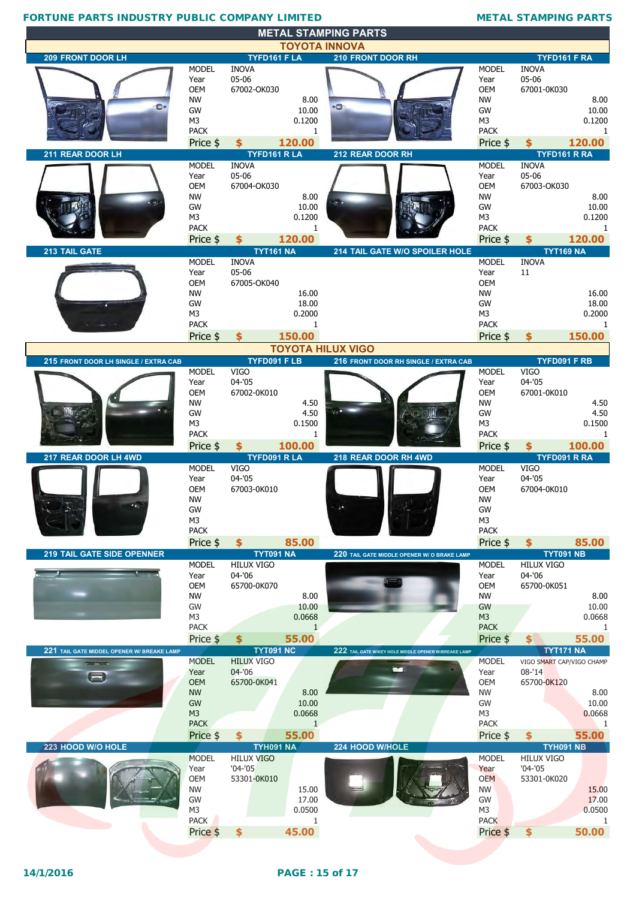|                                            |                               |                          |                        | <b>MEIAL SIAMPING PARIS</b><br><b>TOYOTA INNOVA</b>  |                             |                           |                       |
|--------------------------------------------|-------------------------------|--------------------------|------------------------|------------------------------------------------------|-----------------------------|---------------------------|-----------------------|
| 209 FRONT DOOR LH                          |                               | TYFD161 F LA             |                        | 210 FRONT DOOR RH                                    |                             | TYFD161 F RA              |                       |
|                                            | <b>MODEL</b>                  | <b>INOVA</b>             |                        |                                                      | <b>MODEL</b>                | <b>INOVA</b>              |                       |
|                                            | Year                          | 05-06                    |                        |                                                      | Year                        | 05-06                     |                       |
|                                            | <b>OEM</b>                    | 67002-OK030              |                        |                                                      | <b>OEM</b>                  | 67001-0K030               |                       |
|                                            | <b>NW</b>                     |                          | 8.00                   |                                                      | <b>NW</b>                   |                           | 8.00                  |
| e                                          | GW                            |                          | 10.00                  | ò                                                    | <b>GW</b>                   |                           | 10.00                 |
|                                            | M <sub>3</sub>                |                          | 0.1200                 |                                                      | M <sub>3</sub>              |                           | 0.1200                |
|                                            | <b>PACK</b>                   |                          | $\mathbf{1}$           |                                                      | <b>PACK</b>                 |                           | 1                     |
|                                            | Price \$                      | \$                       | 120.00                 |                                                      | Price \$                    | \$                        | 120.00                |
| 211 REAR DOOR LH                           |                               | TYFD161 RLA              |                        | 212 REAR DOOR RH                                     |                             | TYFD161 R RA              |                       |
|                                            | <b>MODEL</b>                  | <b>INOVA</b>             |                        |                                                      | <b>MODEL</b>                | <b>INOVA</b>              |                       |
|                                            | Year                          | 05-06                    |                        |                                                      | Year                        | 05-06                     |                       |
|                                            | OEM<br><b>NW</b>              | 67004-OK030              | 8.00                   |                                                      | <b>OEM</b><br><b>NW</b>     | 67003-OK030               | 8.00                  |
|                                            | GW                            |                          | 10.00                  |                                                      | GW                          |                           | 10.00                 |
|                                            | M <sub>3</sub>                |                          | 0.1200                 |                                                      | M <sub>3</sub>              |                           | 0.1200                |
|                                            | <b>PACK</b>                   |                          | 1                      |                                                      | <b>PACK</b>                 |                           | 1                     |
|                                            | Price \$                      | \$                       | 120.00                 |                                                      | Price \$                    | \$                        | 120.00                |
| 213 TAIL GATE                              |                               | <b>TYT161 NA</b>         |                        | 214 TAIL GATE W/O SPOILER HOLE                       |                             | <b>TYT169 NA</b>          |                       |
|                                            | <b>MODEL</b>                  | <b>INOVA</b>             |                        |                                                      | <b>MODEL</b>                | <b>INOVA</b>              |                       |
|                                            | Year                          | 05-06                    |                        |                                                      | Year                        | 11                        |                       |
|                                            | OEM                           | 67005-OK040              |                        |                                                      | <b>OEM</b>                  |                           |                       |
|                                            | <b>NW</b>                     |                          | 16.00                  |                                                      | <b>NW</b>                   |                           | 16.00                 |
|                                            | GW<br>M3                      |                          | 18.00<br>0.2000        |                                                      | <b>GW</b><br>M <sub>3</sub> |                           | 18.00<br>0.2000       |
|                                            | <b>PACK</b>                   |                          | $\mathbf{1}$           |                                                      | <b>PACK</b>                 |                           | $\mathbf{1}$          |
|                                            | Price \$                      | \$                       | 150.00                 |                                                      | Price \$                    | \$                        | 150.00                |
|                                            |                               |                          |                        | <b>TOYOTA HILUX VIGO</b>                             |                             |                           |                       |
| 215 FRONT DOOR LH SINGLE / EXTRA CAB       |                               | TYFD091 FLB              |                        | 216 FRONT DOOR RH SINGLE / EXTRA CAB                 |                             | TYFD091 F RB              |                       |
|                                            | <b>MODEL</b>                  | <b>VIGO</b>              |                        |                                                      | <b>MODEL</b>                | <b>VIGO</b>               |                       |
|                                            | Year                          | $04 - 05$                |                        |                                                      | Year                        | $04 - 05$                 |                       |
|                                            | <b>OEM</b>                    | 67002-0K010              |                        |                                                      | <b>OEM</b>                  | 67001-0K010               |                       |
|                                            | <b>NW</b>                     |                          | 4.50                   |                                                      | <b>NW</b>                   |                           | 4.50                  |
|                                            | GW                            |                          | 4.50                   |                                                      | GW                          |                           | 4.50                  |
|                                            | M <sub>3</sub>                |                          | 0.1500                 |                                                      | M3                          |                           | 0.1500                |
|                                            | <b>PACK</b>                   |                          | $\mathbf{1}$           |                                                      | <b>PACK</b>                 |                           | 1                     |
|                                            |                               |                          |                        |                                                      |                             |                           |                       |
|                                            | Price \$                      | \$                       | 100.00                 |                                                      | Price \$                    | \$                        | 100.00                |
| 217 REAR DOOR LH 4WD                       |                               | TYFD091 R LA             |                        | 218 REAR DOOR RH 4WD                                 |                             | TYFD091 R RA              |                       |
|                                            | <b>MODEL</b>                  | <b>VIGO</b>              |                        |                                                      | <b>MODEL</b>                | <b>VIGO</b>               |                       |
|                                            | Year<br><b>OEM</b>            | $04 - 05$<br>67003-0K010 |                        |                                                      | Year<br><b>OEM</b>          | $04 - 05$<br>67004-0K010  |                       |
|                                            | <b>NW</b>                     |                          |                        |                                                      | <b>NW</b>                   |                           |                       |
|                                            | GW                            |                          |                        |                                                      | GW                          |                           |                       |
|                                            | M <sub>3</sub>                |                          |                        |                                                      | M3                          |                           |                       |
|                                            | <b>PACK</b>                   |                          |                        |                                                      | <b>PACK</b>                 |                           |                       |
|                                            | Price \$                      | $\mathbf{\hat{5}}$       | 85.00                  |                                                      | Price \$                    | $\mathbf{\hat{5}}$        | 85.00                 |
| <b>219 TAIL GATE SIDE OPENNER</b>          |                               | <b>TYT091 NA</b>         |                        | 220 TAIL GATE MIDDLE OPENER W/ O BRAKE LAMP          |                             | <b>TYT091 NB</b>          |                       |
|                                            | <b>MODEL</b>                  | <b>HILUX VIGO</b>        |                        |                                                      | <b>MODEL</b>                | <b>HILUX VIGO</b>         |                       |
|                                            | Year                          | 04-'06                   |                        |                                                      | Year                        | 04-'06                    |                       |
|                                            | <b>OEM</b>                    | 65700-0K070              | 8.00                   |                                                      | <b>OEM</b>                  | 65700-0K051               |                       |
|                                            | <b>NW</b><br>GW               |                          | 10.00                  |                                                      | <b>NW</b><br>GW             |                           |                       |
|                                            | M <sub>3</sub>                |                          | 0.0668                 |                                                      | M <sub>3</sub>              |                           | 0.0668                |
|                                            | <b>PACK</b>                   |                          | $\mathbf{1}$           |                                                      | <b>PACK</b>                 |                           | 1                     |
|                                            | Price \$                      | \$                       | 55.00                  |                                                      | Price \$                    | \$                        | 55.00                 |
| 221 TAIL GATE MIDDEL OPENER W/ BREAKE LAMP |                               | <b>TYT091 NC</b>         |                        | 222 TAIL GATE W/KEY HOLE MIDDLE OPENER W/BREAKE LAMP |                             | <b>TYT171 NA</b>          |                       |
|                                            | <b>MODEL</b>                  | <b>HILUX VIGO</b>        |                        |                                                      | <b>MODEL</b>                | VIGO SMART CAP/VIGO CHAMP |                       |
| c                                          | Year                          | $04 - 06$                |                        |                                                      | Year                        | $08 - 14$                 |                       |
|                                            | <b>OEM</b>                    | 65700-0K041              |                        |                                                      | <b>OEM</b>                  | 65700-0K120               |                       |
|                                            | <b>NW</b>                     |                          | 8.00                   |                                                      | <b>NW</b>                   |                           | 8.00<br>10.00<br>8.00 |
|                                            | GW                            |                          | 10.00                  |                                                      | GW                          |                           | 10.00                 |
|                                            | M <sub>3</sub><br><b>PACK</b> |                          | 0.0668<br>$\mathbf{1}$ |                                                      | M3<br><b>PACK</b>           |                           | 0.0668<br>-1          |
|                                            | Price \$                      | \$                       | 55.00                  |                                                      | Price \$                    | \$                        | 55.00                 |
| 223 HOOD W/O HOLE                          |                               | <b>TYH091 NA</b>         |                        | 224 HOOD W/HOLE                                      |                             | <b>TYH091 NB</b>          |                       |
|                                            | <b>MODEL</b>                  | <b>HILUX VIGO</b>        |                        |                                                      | <b>MODEL</b>                | <b>HILUX VIGO</b>         |                       |
|                                            | Year                          | $'04 - '05$              |                        |                                                      | Year                        | $'04 - '05$               |                       |
|                                            | <b>OEM</b>                    | 53301-0K010              |                        |                                                      | <b>OEM</b>                  | 53301-0K020               |                       |
|                                            | <b>NW</b>                     |                          | 15.00                  |                                                      | <b>NW</b>                   |                           | 15.00                 |
|                                            | GW                            |                          | 17.00                  |                                                      | GW                          |                           | 17.00                 |
|                                            | M <sub>3</sub>                |                          | 0.0500<br>1            |                                                      | M3                          |                           | 0.0500<br>1           |
|                                            | <b>PACK</b><br>Price \$       | \$                       | 45.00                  |                                                      | <b>PACK</b><br>Price \$     | \$                        | 50.00                 |

**METAL STAMPING PARTS**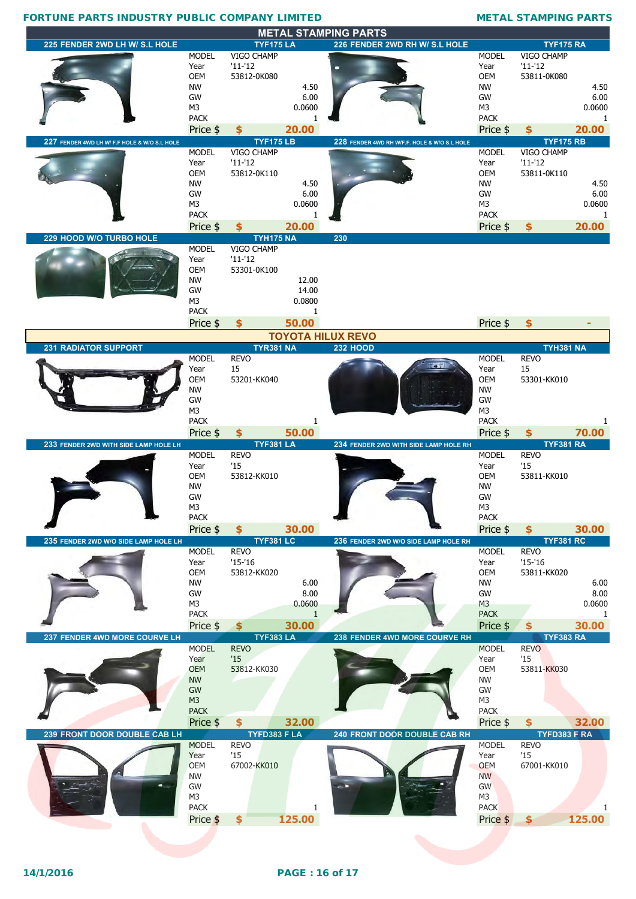| <b>METAL STAMPING PARTS</b>                  |                               |                                 |              |                                              |                               |                                 |              |  |  |  |
|----------------------------------------------|-------------------------------|---------------------------------|--------------|----------------------------------------------|-------------------------------|---------------------------------|--------------|--|--|--|
| 225 FENDER 2WD LH W/ S.L HOLE                |                               | <b>TYF175 LA</b>                |              | 226 FENDER 2WD RH W/ S.L HOLE                |                               | <b>TYF175 RA</b>                |              |  |  |  |
|                                              | MODEL                         | VIGO CHAMP                      |              |                                              | <b>MODEL</b>                  | VIGO CHAMP                      |              |  |  |  |
|                                              | Year<br><b>OEM</b>            | $'11-'12$                       |              |                                              | Year<br><b>OEM</b>            | $'11 - '12$                     |              |  |  |  |
|                                              | NW                            | 53812-0K080                     | 4.50         |                                              | NW                            | 53811-0K080                     | 4.50         |  |  |  |
|                                              | GW                            |                                 | 6.00         |                                              | GW                            |                                 | 6.00         |  |  |  |
|                                              | M <sub>3</sub>                |                                 | 0.0600       |                                              | M <sub>3</sub>                |                                 | 0.0600       |  |  |  |
|                                              | <b>PACK</b>                   |                                 | 1            |                                              | <b>PACK</b>                   |                                 | 1            |  |  |  |
|                                              | Price \$                      | \$                              | 20.00        |                                              | Price \$                      | \$                              | 20.00        |  |  |  |
| 227 FENDER 4WD LH W/ F.F HOLE & W/O S.L HOLE |                               | <b>TYF175LB</b>                 |              | 228 FENDER 4WD RH W/F.F. HOLE & W/O S.L HOLE |                               | <b>TYF175 RB</b>                |              |  |  |  |
|                                              | <b>MODEL</b>                  | VIGO CHAMP                      |              |                                              | <b>MODEL</b>                  | VIGO CHAMP<br>$'11 - '12$       |              |  |  |  |
|                                              | Year<br><b>OEM</b>            | $'11-'12$<br>53812-0K110        |              |                                              | Year<br><b>OEM</b>            | 53811-0K110                     |              |  |  |  |
|                                              | <b>NW</b>                     |                                 | 4.50         |                                              | <b>NW</b>                     |                                 | 4.50         |  |  |  |
|                                              | GW                            |                                 | 6.00         |                                              | GW                            |                                 | 6.00         |  |  |  |
|                                              | M <sub>3</sub>                |                                 | 0.0600       |                                              | M3                            |                                 | 0.0600       |  |  |  |
|                                              | <b>PACK</b>                   |                                 | 1            |                                              | <b>PACK</b>                   |                                 | 1            |  |  |  |
|                                              | Price \$                      | \$                              | 20.00        |                                              | Price \$                      | \$                              | 20.00        |  |  |  |
| 229 HOOD W/O TURBO HOLE                      | <b>MODEL</b>                  | <b>TYH175 NA</b><br>VIGO CHAMP  |              | 230                                          |                               |                                 |              |  |  |  |
|                                              | Year                          | $'11-'12$                       |              |                                              |                               |                                 |              |  |  |  |
|                                              | <b>OEM</b>                    | 53301-0K100                     |              |                                              |                               |                                 |              |  |  |  |
|                                              | <b>NW</b>                     |                                 | 12.00        |                                              |                               |                                 |              |  |  |  |
|                                              | GW                            |                                 | 14.00        |                                              |                               |                                 |              |  |  |  |
|                                              | M <sub>3</sub>                |                                 | 0.0800       |                                              |                               |                                 |              |  |  |  |
|                                              | <b>PACK</b>                   |                                 | 1            |                                              |                               |                                 |              |  |  |  |
|                                              | Price \$                      | \$                              | 50.00        |                                              | Price \$                      |                                 |              |  |  |  |
| <b>231 RADIATOR SUPPORT</b>                  |                               | <b>TYR381 NA</b>                |              | <b>TOYOTA HILUX REVO</b><br><b>232 HOOD</b>  |                               | <b>TYH381 NA</b>                |              |  |  |  |
|                                              | <b>MODEL</b>                  | <b>REVO</b>                     |              |                                              | <b>MODEL</b>                  | <b>REVO</b>                     |              |  |  |  |
|                                              | Year                          | 15                              |              |                                              | Year                          | 15                              |              |  |  |  |
|                                              | <b>OEM</b>                    | 53201-KK040                     |              |                                              | <b>OEM</b>                    | 53301-KK010                     |              |  |  |  |
|                                              | <b>NW</b>                     |                                 |              |                                              | <b>NW</b>                     |                                 |              |  |  |  |
|                                              | <b>GW</b>                     |                                 |              |                                              | GW                            |                                 |              |  |  |  |
|                                              | M <sub>3</sub><br><b>PACK</b> |                                 | 1            |                                              | M <sub>3</sub><br><b>PACK</b> |                                 |              |  |  |  |
|                                              |                               |                                 |              |                                              |                               |                                 |              |  |  |  |
|                                              |                               |                                 |              |                                              |                               |                                 |              |  |  |  |
|                                              | Price \$                      | \$                              | 50.00        |                                              | Price \$                      | \$                              | 70.00        |  |  |  |
| 233 FENDER 2WD WITH SIDE LAMP HOLE LH        | <b>MODEL</b>                  | <b>TYF381 LA</b><br><b>REVO</b> |              | 234 FENDER 2WD WITH SIDE LAMP HOLE RH        | <b>MODEL</b>                  | <b>TYF381 RA</b><br><b>REVO</b> |              |  |  |  |
|                                              | Year                          | '15                             |              |                                              | Year                          | '15                             |              |  |  |  |
|                                              | <b>OEM</b>                    | 53812-KK010                     |              |                                              | <b>OEM</b>                    | 53811-KK010                     |              |  |  |  |
|                                              | NW                            |                                 |              |                                              | NW                            |                                 |              |  |  |  |
|                                              | GW                            |                                 |              |                                              | GW                            |                                 |              |  |  |  |
|                                              | M <sub>3</sub><br><b>PACK</b> |                                 |              |                                              | M3<br><b>PACK</b>             |                                 |              |  |  |  |
|                                              | Price \$                      | \$                              | 30.00        |                                              | Price \$                      | \$                              | 30.00        |  |  |  |
| 235 FENDER 2WD W/O SIDE LAMP HOLE LH         |                               | <b>TYF381 LC</b>                |              | 236 FENDER 2WD W/O SIDE LAMP HOLE RH         |                               | <b>TYF381 RC</b>                |              |  |  |  |
|                                              | <b>MODEL</b>                  | <b>REVO</b>                     |              |                                              | <b>MODEL</b>                  | REVO                            |              |  |  |  |
|                                              | Year                          | $'15-'16$                       |              |                                              | Year                          | $'15-'16$                       |              |  |  |  |
|                                              | <b>OEM</b>                    | 53812-KK020                     |              |                                              | <b>OEM</b>                    | 53811-KK020                     |              |  |  |  |
|                                              | NW<br>GW                      |                                 | 6.00<br>8.00 |                                              | <b>NW</b><br>GW               |                                 | 6.00<br>8.00 |  |  |  |
|                                              | M <sub>3</sub>                |                                 | 0.0600       |                                              | M <sub>3</sub>                |                                 | 0.0600       |  |  |  |
|                                              | <b>PACK</b>                   |                                 | $\mathbf{1}$ |                                              | <b>PACK</b>                   |                                 | $\mathbf{1}$ |  |  |  |
|                                              | Price \$                      | $\clubsuit$                     | 30.00        |                                              | Price \$                      | \$                              | 30.00        |  |  |  |
| 237 FENDER 4WD MORE COURVE LH                |                               | <b>TYF383 LA</b>                |              | 238 FENDER 4WD MORE COURVE RH                |                               | <b>TYF383 RA</b>                |              |  |  |  |
|                                              | <b>MODEL</b>                  | <b>REVO</b>                     |              |                                              | <b>MODEL</b>                  | <b>REVO</b>                     |              |  |  |  |
|                                              | Year                          | '15                             |              |                                              | Year                          | '15                             |              |  |  |  |
|                                              | <b>OEM</b>                    | 53812-KK030                     |              |                                              | <b>OEM</b>                    | 53811-KK030                     |              |  |  |  |
|                                              | <b>NW</b><br>GW               |                                 |              |                                              | <b>NW</b><br>GW               |                                 |              |  |  |  |
|                                              | M3                            |                                 |              |                                              | M <sub>3</sub>                |                                 |              |  |  |  |
|                                              | <b>PACK</b>                   |                                 |              |                                              | <b>PACK</b>                   |                                 |              |  |  |  |
|                                              | Price \$                      | \$                              | 32.00        |                                              | Price \$                      | \$                              | 32.00        |  |  |  |
| 239 FRONT DOOR DOUBLE CAB LH                 |                               | TYFD383 F LA                    |              | 240 FRONT DOOR DOUBLE CAB RH                 |                               | TYFD383 F RA                    |              |  |  |  |
|                                              | <b>MODEL</b><br>Year          | <b>REVO</b><br>'15              |              |                                              | <b>MODEL</b>                  | <b>REVO</b><br>'15              |              |  |  |  |
|                                              | <b>OEM</b>                    | 67002-KK010                     |              |                                              | Year<br><b>OEM</b>            | 67001-KK010                     |              |  |  |  |
|                                              | <b>NW</b>                     |                                 |              |                                              | <b>NW</b>                     |                                 |              |  |  |  |
|                                              | GW                            |                                 |              |                                              | GW                            |                                 |              |  |  |  |
|                                              | M <sub>3</sub>                |                                 |              |                                              | M3                            |                                 |              |  |  |  |
|                                              | <b>PACK</b><br>Price \$       | $\frac{1}{2}$                   | 1<br>125.00  |                                              | <b>PACK</b><br>Price \$       | \$                              | 125.00       |  |  |  |